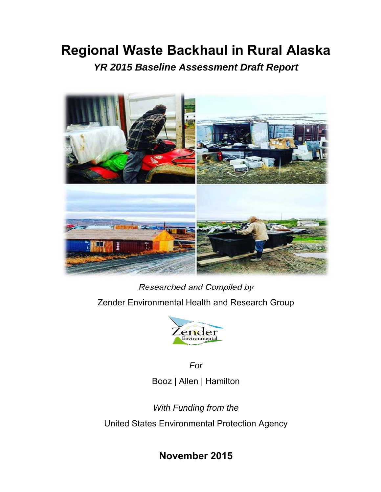# **Regional Waste Backhaul in Rural Alaska**

*YR 2015 Baseline Assessment Draft Report* 



*Researched and Compiled by*  Zender Environmental Health and Research Group



*For*  Booz | Allen | Hamilton

*With Funding from the* 

United States Environmental Protection Agency

**November 2015**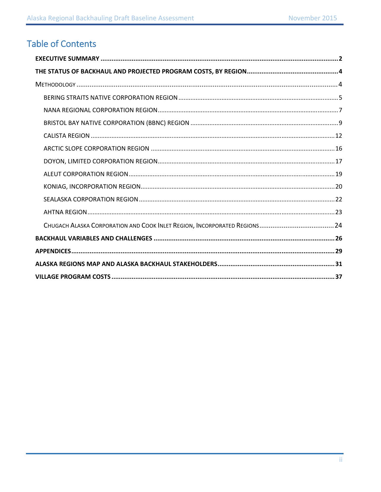# **Table of Contents**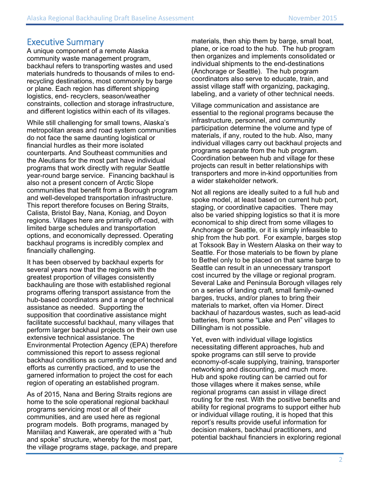### Executive Summary

A unique component of a remote Alaska community waste management program, backhaul refers to transporting wastes and used materials hundreds to thousands of miles to endrecycling destinations, most commonly by barge or plane. Each region has different shipping logistics, end- recyclers, season/weather constraints, collection and storage infrastructure, and different logistics within each of its villages.

While still challenging for small towns, Alaska's metropolitan areas and road system communities do not face the same daunting logistical or financial hurdles as their more isolated counterparts. And Southeast communities and the Aleutians for the most part have individual programs that work directly with regular Seattle year-round barge service. Financing backhaul is also not a present concern of Arctic Slope communities that benefit from a Borough program and well-developed transportation infrastructure. This report therefore focuses on Bering Straits, Calista, Bristol Bay, Nana, Koniag, and Doyon regions. Villages here are primarily off-road, with limited barge schedules and transportation options, and economically depressed. Operating backhaul programs is incredibly complex and financially challenging.

It has been observed by backhaul experts for several years now that the regions with the greatest proportion of villages consistently backhauling are those with established regional programs offering transport assistance from the hub-based coordinators and a range of technical assistance as needed. Supporting the supposition that coordinative assistance might facilitate successful backhaul, many villages that perform larger backhaul projects on their own use extensive technical assistance. The Environmental Protection Agency (EPA) therefore commissioned this report to assess regional backhaul conditions as currently experienced and efforts as currently practiced, and to use the garnered information to project the cost for each region of operating an established program.

As of 2015, Nana and Bering Straits regions are home to the sole operational regional backhaul programs servicing most or all of their communities, and are used here as regional program models. Both programs, managed by Maniilaq and Kawerak, are operated with a "hub and spoke" structure, whereby for the most part, the village programs stage, package, and prepare materials, then ship them by barge, small boat, plane, or ice road to the hub. The hub program then organizes and implements consolidated or individual shipments to the end-destinations (Anchorage or Seattle). The hub program coordinators also serve to educate, train, and assist village staff with organizing, packaging, labeling, and a variety of other technical needs.

Village communication and assistance are essential to the regional programs because the infrastructure, personnel, and community participation determine the volume and type of materials, if any, routed to the hub. Also, many individual villages carry out backhaul projects and programs separate from the hub program. Coordination between hub and village for these projects can result in better relationships with transporters and more in-kind opportunities from a wider stakeholder network.

Not all regions are ideally suited to a full hub and spoke model, at least based on current hub port, staging, or coordinative capacities. There may also be varied shipping logistics so that it is more economical to ship direct from some villages to Anchorage or Seattle, or it is simply infeasible to ship from the hub port. For example, barges stop at Toksook Bay in Western Alaska on their way to Seattle. For those materials to be flown by plane to Bethel only to be placed on that same barge to Seattle can result in an unnecessary transport cost incurred by the village or regional program. Several Lake and Peninsula Borough villages rely on a series of landing craft, small family-owned barges, trucks, and/or planes to bring their materials to market, often via Homer. Direct backhaul of hazardous wastes, such as lead-acid batteries, from some "Lake and Pen" villages to Dillingham is not possible.

Yet, even with individual village logistics necessitating different approaches, hub and spoke programs can still serve to provide economy-of-scale supplying, training, transporter networking and discounting, and much more. Hub and spoke routing can be carried out for those villages where it makes sense, while regional programs can assist in village direct routing for the rest. With the positive benefits and ability for regional programs to support either hub or individual village routing, it is hoped that this report's results provide useful information for decision makers, backhaul practitioners, and potential backhaul financiers in exploring regional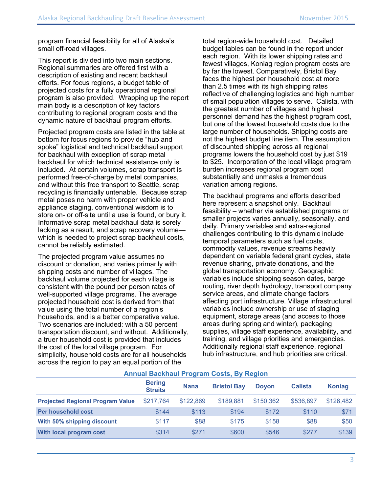program financial feasibility for all of Alaska's small off-road villages.

This report is divided into two main sections. Regional summaries are offered first with a description of existing and recent backhaul efforts. For focus regions, a budget table of projected costs for a fully operational regional program is also provided. Wrapping up the report main body is a description of key factors contributing to regional program costs and the dynamic nature of backhaul program efforts.

Projected program costs are listed in the table at bottom for focus regions to provide "hub and spoke" logistical and technical backhaul support for backhaul with exception of scrap metal backhaul for which technical assistance only is included. At certain volumes, scrap transport is performed free-of-charge by metal companies, and without this free transport to Seattle, scrap recycling is financially untenable. Because scrap metal poses no harm with proper vehicle and appliance staging, conventional wisdom is to store on- or off-site until a use is found, or bury it. Informative scrap metal backhaul data is sorely lacking as a result, and scrap recovery volume which is needed to project scrap backhaul costs, cannot be reliably estimated.

The projected program value assumes no discount or donation, and varies primarily with shipping costs and number of villages. The backhaul volume projected for each village is consistent with the pound per person rates of well-supported village programs. The average projected household cost is derived from that value using the total number of a region's households, and is a better comparative value. Two scenarios are included: with a 50 percent transportation discount, and without. Additionally, a truer household cost is provided that includes the cost of the local village program. For simplicity, household costs are for all households across the region to pay an equal portion of the

total region-wide household cost. Detailed budget tables can be found in the report under each region. With its lower shipping rates and fewest villages, Koniag region program costs are by far the lowest. Comparatively, Bristol Bay faces the highest per household cost at more than 2.5 times with its high shipping rates reflective of challenging logistics and high number of small population villages to serve. Calista, with the greatest number of villages and highest personnel demand has the highest program cost, but one of the lowest household costs due to the large number of households. Shipping costs are not the highest budget line item. The assumption of discounted shipping across all regional programs lowers the household cost by just \$19 to \$25. Incorporation of the local village program burden increases regional program cost substantially and unmasks a tremendous variation among regions.

The backhaul programs and efforts described here represent a snapshot only. Backhaul feasibility – whether via established programs or smaller projects varies annually, seasonally, and daily. Primary variables and extra-regional challenges contributing to this dynamic include temporal parameters such as fuel costs, commodity values, revenue streams heavily dependent on variable federal grant cycles, state revenue sharing, private donations, and the global transportation economy. Geographic variables include shipping season dates, barge routing, river depth hydrology, transport company service areas, and climate change factors affecting port infrastructure. Village infrastructural variables include ownership or use of staging equipment, storage areas (and access to those areas during spring and winter), packaging supplies, village staff experience, availability, and training, and village priorities and emergencies. Additionally regional staff experience, regional hub infrastructure, and hub priorities are critical.

| Alliudi Dackliqui FTUYIQIII COSIS, DY REGIUII |                                 |             |                    |              |                |               |
|-----------------------------------------------|---------------------------------|-------------|--------------------|--------------|----------------|---------------|
|                                               | <b>Bering</b><br><b>Straits</b> | <b>Nana</b> | <b>Bristol Bay</b> | <b>Dovon</b> | <b>Calista</b> | <b>Koniag</b> |
| <b>Projected Regional Program Value</b>       | \$217,764                       | \$122,869   | \$189,881          | \$150,362    | \$536,897      | \$126,482     |
| Per household cost                            | \$144                           | \$113       | \$194              | \$172        | \$110          | \$71          |
| With 50% shipping discount                    | \$117                           | \$88        | \$175              | \$158        | \$88           | \$50          |
| With local program cost                       | \$314                           | \$271       | \$600              | \$546        | \$277          | \$139         |

#### **Annual Backhaul Program Costs, By Region**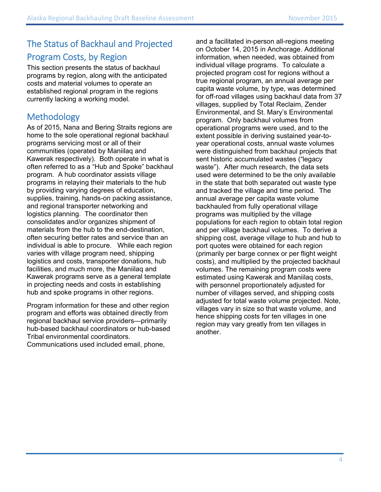# The Status of Backhaul and Projected

### Program Costs, by Region

This section presents the status of backhaul programs by region, along with the anticipated costs and material volumes to operate an established regional program in the regions currently lacking a working model.

# Methodology

As of 2015, Nana and Bering Straits regions are home to the sole operational regional backhaul programs servicing most or all of their communities (operated by Maniilaq and Kawerak respectively). Both operate in what is often referred to as a "Hub and Spoke" backhaul program. A hub coordinator assists village programs in relaying their materials to the hub by providing varying degrees of education, supplies, training, hands-on packing assistance, and regional transporter networking and logistics planning. The coordinator then consolidates and/or organizes shipment of materials from the hub to the end-destination, often securing better rates and service than an individual is able to procure. While each region varies with village program need, shipping logistics and costs, transporter donations, hub facilities, and much more, the Maniilaq and Kawerak programs serve as a general template in projecting needs and costs in establishing hub and spoke programs in other regions.

Program information for these and other region program and efforts was obtained directly from regional backhaul service providers—primarily hub-based backhaul coordinators or hub-based Tribal environmental coordinators.

Communications used included email, phone,

and a facilitated in-person all-regions meeting on October 14, 2015 in Anchorage. Additional information, when needed, was obtained from individual village programs. To calculate a projected program cost for regions without a true regional program, an annual average per capita waste volume, by type, was determined for off-road villages using backhaul data from 37 villages, supplied by Total Reclaim, Zender Environmental, and St. Mary's Environmental program. Only backhaul volumes from operational programs were used, and to the extent possible in deriving sustained year-toyear operational costs, annual waste volumes were distinguished from backhaul projects that sent historic accumulated wastes ("legacy waste"). After much research, the data sets used were determined to be the only available in the state that both separated out waste type and tracked the village and time period. The annual average per capita waste volume backhauled from fully operational village programs was multiplied by the village populations for each region to obtain total region and per village backhaul volumes. To derive a shipping cost, average village to hub and hub to port quotes were obtained for each region (primarily per barge connex or per flight weight costs), and multiplied by the projected backhaul volumes. The remaining program costs were estimated using Kawerak and Maniilaq costs, with personnel proportionately adjusted for number of villages served, and shipping costs adjusted for total waste volume projected. Note, villages vary in size so that waste volume, and hence shipping costs for ten villages in one region may vary greatly from ten villages in another.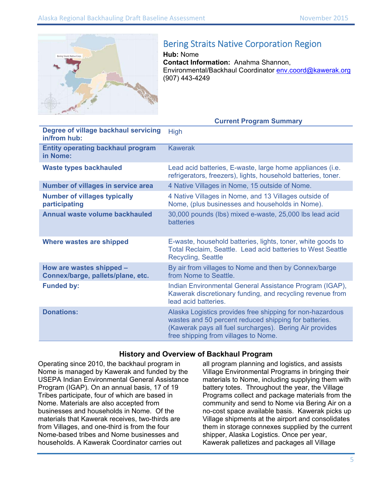

**Degree of village backhaul servicing** 

# Bering Straits Native Corporation Region

**Hub:** Nome **Contact Information:** Anahma Shannon, Environmental/Backhaul Coordinator env.coord@kawerak.org (907) 443-4249

**Current Program Summary** 

| <u>209100 01 Thugo Duonnuur oor Tionig</u><br>in/from hub:    | <b>FIIGH</b>                                                                                                                                                                                                          |
|---------------------------------------------------------------|-----------------------------------------------------------------------------------------------------------------------------------------------------------------------------------------------------------------------|
| <b>Entity operating backhaul program</b><br>in Nome:          | <b>Kawerak</b>                                                                                                                                                                                                        |
| <b>Waste types backhauled</b>                                 | Lead acid batteries, E-waste, large home appliances (i.e.<br>refrigerators, freezers), lights, household batteries, toner.                                                                                            |
| <b>Number of villages in service area</b>                     | 4 Native Villages in Nome, 15 outside of Nome.                                                                                                                                                                        |
| <b>Number of villages typically</b><br>participating          | 4 Native Villages in Nome, and 13 Villages outside of<br>Nome, (plus businesses and households in Nome).                                                                                                              |
| Annual waste volume backhauled                                | 30,000 pounds (lbs) mixed e-waste, 25,000 lbs lead acid<br><b>batteries</b>                                                                                                                                           |
| Where wastes are shipped                                      | E-waste, household batteries, lights, toner, white goods to<br>Total Reclaim, Seattle. Lead acid batteries to West Seattle<br><b>Recycling, Seattle</b>                                                               |
| How are wastes shipped -<br>Connex/barge, pallets/plane, etc. | By air from villages to Nome and then by Connex/barge<br>from Nome to Seattle.                                                                                                                                        |
| <b>Funded by:</b>                                             | Indian Environmental General Assistance Program (IGAP),<br>Kawerak discretionary funding, and recycling revenue from<br>lead acid batteries.                                                                          |
| <b>Donations:</b>                                             | Alaska Logistics provides free shipping for non-hazardous<br>wastes and 50 percent reduced shipping for batteries.<br>(Kawerak pays all fuel surcharges). Bering Air provides<br>free shipping from villages to Nome. |

High

#### **History and Overview of Backhaul Program**

Operating since 2010, the backhaul program in Nome is managed by Kawerak and funded by the USEPA Indian Environmental General Assistance Program (IGAP). On an annual basis, 17 of 19 Tribes participate, four of which are based in Nome. Materials are also accepted from businesses and households in Nome. Of the materials that Kawerak receives, two-thirds are from Villages, and one-third is from the four Nome-based tribes and Nome businesses and households. A Kawerak Coordinator carries out

all program planning and logistics, and assists Village Environmental Programs in bringing their materials to Nome, including supplying them with battery totes. Throughout the year, the Village Programs collect and package materials from the community and send to Nome via Bering Air on a no-cost space available basis. Kawerak picks up Village shipments at the airport and consolidates them in storage connexes supplied by the current shipper, Alaska Logistics. Once per year, Kawerak palletizes and packages all Village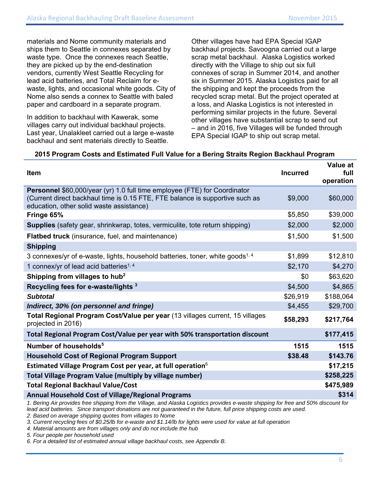materials and Nome community materials and ships them to Seattle in connexes separated by waste type. Once the connexes reach Seattle, they are picked up by the end-destination vendors, currently West Seattle Recycling for lead acid batteries, and Total Reclaim for ewaste, lights, and occasional white goods. City of Nome also sends a connex to Seattle with baled paper and cardboard in a separate program.

In addition to backhaul with Kawerak, some villages carry out individual backhaul projects. Last year, Unalakleet carried out a large e-waste backhaul and sent materials directly to Seattle.

Other villages have had EPA Special IGAP backhaul projects. Savoogna carried out a large scrap metal backhaul. Alaska Logistics worked directly with the Village to ship out six full connexes of scrap in Summer 2014, and another six in Summer 2015. Alaska Logistics paid for all the shipping and kept the proceeds from the recycled scrap metal. But the project operated at a loss, and Alaska Logistics is not interested in performing similar projects in the future. Several other villages have substantial scrap to send out – and in 2016, five Villages will be funded through EPA Special IGAP to ship out scrap metal.

#### **2015 Program Costs and Estimated Full Value for a Bering Straits Region Backhaul Program**

| Item                                                                                                                                                                                                                                                        | <b>Incurred</b> | Value at<br>full<br>operation |
|-------------------------------------------------------------------------------------------------------------------------------------------------------------------------------------------------------------------------------------------------------------|-----------------|-------------------------------|
| <b>Personnel \$60,000/year (yr) 1.0 full time employee (FTE) for Coordinator</b><br>(Current direct backhaul time is 0.15 FTE, FTE balance is supportive such as<br>education, other solid waste assistance)                                                | \$9,000         | \$60,000                      |
| Fringe 65%                                                                                                                                                                                                                                                  | \$5,850         | \$39,000                      |
| <b>Supplies</b> (safety gear, shrinkwrap, totes, vermiculite, tote return shipping)                                                                                                                                                                         | \$2,000         | \$2,000                       |
| <b>Flatbed truck</b> (insurance, fuel, and maintenance)                                                                                                                                                                                                     | \$1,500         | \$1,500                       |
| <b>Shipping</b>                                                                                                                                                                                                                                             |                 |                               |
| 3 connexes/yr of e-waste, lights, household batteries, toner, white goods <sup>1, 4</sup>                                                                                                                                                                   | \$1,899         | \$12,810                      |
| 1 connex/yr of lead acid batteries <sup>1, 4</sup>                                                                                                                                                                                                          | \$2,170         | \$4,270                       |
| Shipping from villages to hub <sup>2</sup>                                                                                                                                                                                                                  | \$0             | \$63,620                      |
| Recycling fees for e-waste/lights 3                                                                                                                                                                                                                         | \$4,500         | \$4,865                       |
| <b>Subtotal</b>                                                                                                                                                                                                                                             | \$26,919        | \$188,064                     |
| Indirect, 30% (on personnel and fringe)                                                                                                                                                                                                                     | \$4,455         | \$29,700                      |
| Total Regional Program Cost/Value per year (13 villages current, 15 villages<br>projected in 2016)                                                                                                                                                          | \$58,293        | \$217,764                     |
| Total Regional Program Cost/Value per year with 50% transportation discount                                                                                                                                                                                 |                 | \$177,415                     |
| Number of households <sup>5</sup>                                                                                                                                                                                                                           | 1515            | 1515                          |
| <b>Household Cost of Regional Program Support</b>                                                                                                                                                                                                           | \$38.48         | \$143.76                      |
| Estimated Village Program Cost per year, at full operation <sup>6</sup>                                                                                                                                                                                     |                 | \$17,215                      |
| <b>Total Village Program Value (multiply by village number)</b>                                                                                                                                                                                             |                 | \$258,225                     |
| <b>Total Regional Backhaul Value/Cost</b>                                                                                                                                                                                                                   |                 | \$475,989                     |
| <b>Annual Household Cost of Village/Regional Programs</b>                                                                                                                                                                                                   |                 | \$314                         |
| 1. Bering Air provides free shipping from the Village, and Alaska Logistics provides e-waste shipping for free and 50% discount for<br>lead acid batteries. Since transport donations are not guaranteed in the future, full price shipping costs are used. |                 |                               |

*2. Based on average shipping quotes from villages to Nome* 

*3. Current recycling fees of \$0.25/lb for e-waste and \$1.14/lb for lights were used for value at full operation* 

*4. Material amounts are from villages only and do not include the hub* 

*5. Four people per household used* 

*6. For a detailed list of estimated annual village backhaul costs, see Appendix B.*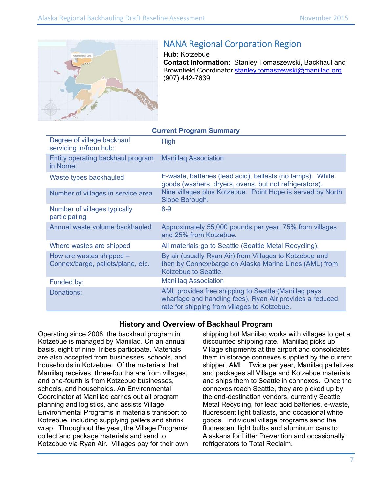

# NANA Regional Corporation Region

**Hub:** Kotzebue **Contact Information:** Stanley Tomaszewski, Backhaul and Brownfield Coordinator stanley.tomaszewski@maniilaq.org (907) 442-7639

#### **Current Program Summary**

| Degree of village backhaul<br>servicing in/from hub:          | <b>High</b>                                                                                                                                                      |
|---------------------------------------------------------------|------------------------------------------------------------------------------------------------------------------------------------------------------------------|
| Entity operating backhaul program<br>in Nome:                 | <b>Maniilaq Association</b>                                                                                                                                      |
| Waste types backhauled                                        | E-waste, batteries (lead acid), ballasts (no lamps). White<br>goods (washers, dryers, ovens, but not refrigerators).                                             |
| Number of villages in service area                            | Nine villages plus Kotzebue. Point Hope is served by North<br>Slope Borough.                                                                                     |
| Number of villages typically<br>participating                 | $8-9$                                                                                                                                                            |
| Annual waste volume backhauled                                | Approximately 55,000 pounds per year, 75% from villages<br>and 25% from Kotzebue.                                                                                |
| Where wastes are shipped                                      | All materials go to Seattle (Seattle Metal Recycling).                                                                                                           |
| How are wastes shipped -<br>Connex/barge, pallets/plane, etc. | By air (usually Ryan Air) from Villages to Kotzebue and<br>then by Connex/barge on Alaska Marine Lines (AML) from<br>Kotzebue to Seattle.                        |
| Funded by:                                                    | <b>Maniilag Association</b>                                                                                                                                      |
| Donations:                                                    | AML provides free shipping to Seattle (Maniilag pays<br>wharfage and handling fees). Ryan Air provides a reduced<br>rate for shipping from villages to Kotzebue. |

#### **History and Overview of Backhaul Program**

Operating since 2008, the backhaul program in Kotzebue is managed by Maniilaq. On an annual basis, eight of nine Tribes participate. Materials are also accepted from businesses, schools, and households in Kotzebue. Of the materials that Maniilaq receives, three-fourths are from villages, and one-fourth is from Kotzebue businesses, schools, and households. An Environmental Coordinator at Maniilaq carries out all program planning and logistics, and assists Village Environmental Programs in materials transport to Kotzebue, including supplying pallets and shrink wrap. Throughout the year, the Village Programs collect and package materials and send to Kotzebue via Ryan Air. Villages pay for their own shipping but Maniilaq works with villages to get a discounted shipping rate. Maniilaq picks up Village shipments at the airport and consolidates them in storage connexes supplied by the current shipper, AML. Twice per year, Maniilaq palletizes and packages all Village and Kotzebue materials and ships them to Seattle in connexes. Once the connexes reach Seattle, they are picked up by the end-destination vendors, currently Seattle Metal Recycling, for lead acid batteries, e-waste, fluorescent light ballasts, and occasional white goods. Individual village programs send the fluorescent light bulbs and aluminum cans to Alaskans for Litter Prevention and occasionally refrigerators to Total Reclaim.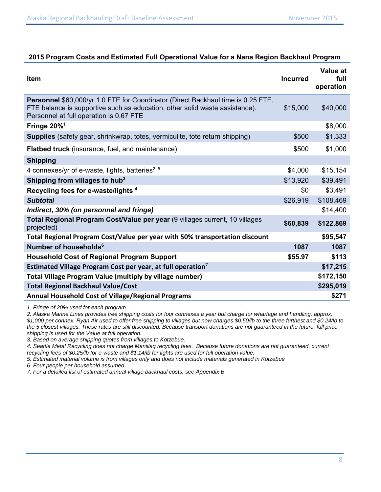| 2015 Program Costs and Estimated Full Operational Value for a Nana Region Backhaul Program |  |  |
|--------------------------------------------------------------------------------------------|--|--|
|                                                                                            |  |  |

| <b>Item</b>                                                                                                                                                                                                | <b>Incurred</b> | Value at<br>full<br>operation |
|------------------------------------------------------------------------------------------------------------------------------------------------------------------------------------------------------------|-----------------|-------------------------------|
| Personnel \$60,000/yr 1.0 FTE for Coordinator (Direct Backhaul time is 0.25 FTE,<br>FTE balance is supportive such as education, other solid waste assistance).<br>Personnel at full operation is 0.67 FTE | \$15,000        | \$40,000                      |
| Fringe $20\%$ <sup>1</sup>                                                                                                                                                                                 |                 | \$8,000                       |
| Supplies (safety gear, shrinkwrap, totes, vermiculite, tote return shipping)                                                                                                                               | \$500           | \$1,333                       |
| <b>Flatbed truck</b> (insurance, fuel, and maintenance)                                                                                                                                                    | \$500           | \$1,000                       |
| <b>Shipping</b>                                                                                                                                                                                            |                 |                               |
| 4 connexes/yr of e-waste, lights, batteries <sup>2, 5</sup>                                                                                                                                                | \$4,000         | \$15,154                      |
| Shipping from villages to hub <sup>3</sup>                                                                                                                                                                 | \$13,920        | \$39,491                      |
| Recycling fees for e-waste/lights <sup>4</sup>                                                                                                                                                             | \$0             | \$3,491                       |
| <b>Subtotal</b>                                                                                                                                                                                            | \$26,919        | \$108,469                     |
| Indirect, 30% (on personnel and fringe)                                                                                                                                                                    |                 | \$14,400                      |
| Total Regional Program Cost/Value per year (9 villages current, 10 villages<br>projected)                                                                                                                  | \$60,839        | \$122,869                     |
| Total Regional Program Cost/Value per year with 50% transportation discount                                                                                                                                |                 | \$95,547                      |
| Number of households <sup>6</sup>                                                                                                                                                                          | 1087            | 1087                          |
| <b>Household Cost of Regional Program Support</b>                                                                                                                                                          | \$55.97         | \$113                         |
| Estimated Village Program Cost per year, at full operation <sup>7</sup>                                                                                                                                    |                 | \$17,215                      |
| <b>Total Village Program Value (multiply by village number)</b>                                                                                                                                            |                 | \$172,150                     |
| <b>Total Regional Backhaul Value/Cost</b>                                                                                                                                                                  |                 | \$295,019                     |
| <b>Annual Household Cost of Village/Regional Programs</b>                                                                                                                                                  |                 | \$271                         |

*1. Fringe of 20% used for each program* 

*2. Alaska Marine Lines provides free shipping costs for four connexes a year but charge for wharfage and handling, approx. \$1,000 per connex. Ryan Air used to offer free shipping to villages but now charges \$0.50/lb to the three furthest and \$0.24/lb to the 5 closest villages. These rates are still discounted. Because transport donations are not guaranteed in the future, full price shipping is used for the Value at full operation.* 

*3. Based on average shipping quotes from villages to Kotzebue.* 

*4. Seattle Metal Recycling does not charge Maniilaq recycling fees. Because future donations are not guaranteed, current recycling fees of \$0.25/lb for e-waste and \$1.14/lb for lights are used for full operation value.* 

*5. Estimated material volume is from villages only and does not include materials generated in Kotzebue* 

*6. Four people per household assumed.* 

*7. For a detailed list of estimated annual village backhaul costs, see Appendix B.*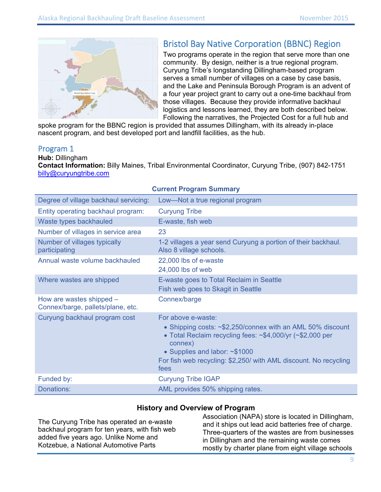

# Bristol Bay Native Corporation (BBNC) Region

Two programs operate in the region that serve more than one community. By design, neither is a true regional program. Curyung Tribe's longstanding Dillingham-based program serves a small number of villages on a case by case basis, and the Lake and Peninsula Borough Program is an advent of a four year project grant to carry out a one-time backhaul from those villages. Because they provide informative backhaul logistics and lessons learned, they are both described below. Following the narratives, the Projected Cost for a full hub and

spoke program for the BBNC region is provided that assumes Dillingham, with its already in-place nascent program, and best developed port and landfill facilities, as the hub.

### Program 1

**Hub:** Dillingham **Contact Information:** Billy Maines, Tribal Environmental Coordinator, Curyung Tribe, (907) 842-1751 billy@curyungtribe.com

| Degree of village backhaul servicing:                         | Low-Not a true regional program                                                                                                                                                                                                                                       |
|---------------------------------------------------------------|-----------------------------------------------------------------------------------------------------------------------------------------------------------------------------------------------------------------------------------------------------------------------|
| Entity operating backhaul program:                            | <b>Curyung Tribe</b>                                                                                                                                                                                                                                                  |
| Waste types backhauled                                        | E-waste, fish web                                                                                                                                                                                                                                                     |
| Number of villages in service area                            | 23                                                                                                                                                                                                                                                                    |
| Number of villages typically<br>participating                 | 1-2 villages a year send Curyung a portion of their backhaul.<br>Also 8 village schools.                                                                                                                                                                              |
| Annual waste volume backhauled                                | 22,000 lbs of e-waste<br>24,000 lbs of web                                                                                                                                                                                                                            |
| Where wastes are shipped                                      | E-waste goes to Total Reclaim in Seattle<br>Fish web goes to Skagit in Seattle                                                                                                                                                                                        |
| How are wastes shipped -<br>Connex/barge, pallets/plane, etc. | Connex/barge                                                                                                                                                                                                                                                          |
| Curyung backhaul program cost                                 | For above e-waste:<br>• Shipping costs: ~\$2,250/connex with an AML 50% discount<br>• Total Reclaim recycling fees: ~\$4,000/yr (~\$2,000 per<br>connex)<br>• Supplies and labor: ~\$1000<br>For fish web recycling: \$2,250/ with AML discount. No recycling<br>fees |
| Funded by:                                                    | <b>Curyung Tribe IGAP</b>                                                                                                                                                                                                                                             |
| Donations:                                                    | AML provides 50% shipping rates.                                                                                                                                                                                                                                      |

#### **Current Program Summary**

#### **History and Overview of Program**

The Curyung Tribe has operated an e-waste backhaul program for ten years, with fish web added five years ago. Unlike Nome and Kotzebue, a National Automotive Parts

Association (NAPA) store is located in Dillingham, and it ships out lead acid batteries free of charge. Three-quarters of the wastes are from businesses in Dillingham and the remaining waste comes mostly by charter plane from eight village schools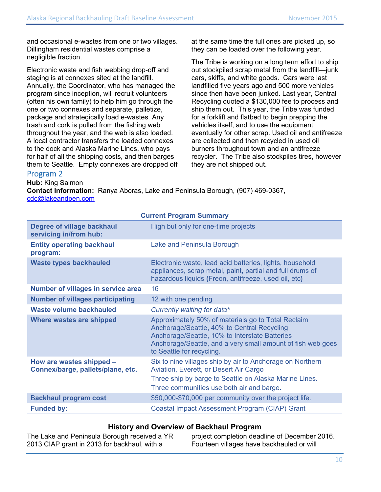and occasional e-wastes from one or two villages. Dillingham residential wastes comprise a negligible fraction.

Electronic waste and fish webbing drop-off and staging is at connexes sited at the landfill. Annually, the Coordinator, who has managed the program since inception, will recruit volunteers (often his own family) to help him go through the one or two connexes and separate, palletize, package and strategically load e-wastes. Any trash and cork is pulled from the fishing web throughout the year, and the web is also loaded. A local contractor transfers the loaded connexes to the dock and Alaska Marine Lines, who pays for half of all the shipping costs, and then barges them to Seattle. Empty connexes are dropped off at the same time the full ones are picked up, so they can be loaded over the following year.

The Tribe is working on a long term effort to ship out stockpiled scrap metal from the landfill—junk cars, skiffs, and white goods. Cars were last landfilled five years ago and 500 more vehicles since then have been junked. Last year, Central Recycling quoted a \$130,000 fee to process and ship them out. This year, the Tribe was funded for a forklift and flatbed to begin prepping the vehicles itself, and to use the equipment eventually for other scrap. Used oil and antifreeze are collected and then recycled in used oil burners throughout town and an antifreeze recycler. The Tribe also stockpiles tires, however they are not shipped out.

#### Program 2

#### **Hub:** King Salmon

**Contact Information:** Ranya Aboras, Lake and Peninsula Borough, (907) 469-0367, cdc@lakeandpen.com

| <b>Current Program Summary</b>                                |                                                                                                                                                                                                                                                 |  |
|---------------------------------------------------------------|-------------------------------------------------------------------------------------------------------------------------------------------------------------------------------------------------------------------------------------------------|--|
| Degree of village backhaul<br>servicing in/from hub:          | High but only for one-time projects                                                                                                                                                                                                             |  |
| <b>Entity operating backhaul</b><br>program:                  | Lake and Peninsula Borough                                                                                                                                                                                                                      |  |
| <b>Waste types backhauled</b>                                 | Electronic waste, lead acid batteries, lights, household<br>appliances, scrap metal, paint, partial and full drums of<br>hazardous liquids {Freon, antifreeze, used oil, etc}                                                                   |  |
| <b>Number of villages in service area</b>                     | 16                                                                                                                                                                                                                                              |  |
| <b>Number of villages participating</b>                       | 12 with one pending                                                                                                                                                                                                                             |  |
| Waste volume backhauled                                       | Currently waiting for data*                                                                                                                                                                                                                     |  |
| Where wastes are shipped                                      | Approximately 50% of materials go to Total Reclaim<br>Anchorage/Seattle, 40% to Central Recycling<br>Anchorage/Seattle, 10% to Interstate Batteries<br>Anchorage/Seattle, and a very small amount of fish web goes<br>to Seattle for recycling. |  |
| How are wastes shipped -<br>Connex/barge, pallets/plane, etc. | Six to nine villages ship by air to Anchorage on Northern<br>Aviation, Everett, or Desert Air Cargo<br>Three ship by barge to Seattle on Alaska Marine Lines.<br>Three communities use both air and barge.                                      |  |
| <b>Backhaul program cost</b>                                  | \$50,000-\$70,000 per community over the project life.                                                                                                                                                                                          |  |
| <b>Funded by:</b>                                             | <b>Coastal Impact Assessment Program (CIAP) Grant</b>                                                                                                                                                                                           |  |

#### **Current Program Summary**

#### **History and Overview of Backhaul Program**

| The Lake and Peninsula Borough received a YR |
|----------------------------------------------|
| 2013 CIAP grant in 2013 for backhaul, with a |

project completion deadline of December 2016. Fourteen villages have backhauled or will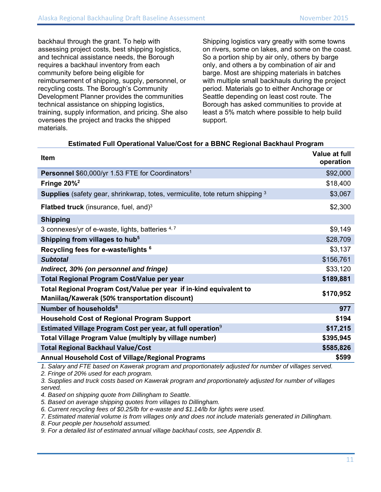backhaul through the grant. To help with assessing project costs, best shipping logistics, and technical assistance needs, the Borough requires a backhaul inventory from each community before being eligible for reimbursement of shipping, supply, personnel, or recycling costs. The Borough's Community Development Planner provides the communities technical assistance on shipping logistics, training, supply information, and pricing. She also oversees the project and tracks the shipped materials.

Shipping logistics vary greatly with some towns on rivers, some on lakes, and some on the coast. So a portion ship by air only, others by barge only, and others a by combination of air and barge. Most are shipping materials in batches with multiple small backhauls during the project period. Materials go to either Anchorage or Seattle depending on least cost route. The Borough has asked communities to provide at least a 5% match where possible to help build support.

#### **Estimated Full Operational Value/Cost for a BBNC Regional Backhaul Program**

| <b>Item</b>                                                                                                           | <b>Value at full</b><br>operation |
|-----------------------------------------------------------------------------------------------------------------------|-----------------------------------|
| Personnel \$60,000/yr 1.53 FTE for Coordinators <sup>1</sup>                                                          | \$92,000                          |
| Fringe 20% <sup>2</sup>                                                                                               | \$18,400                          |
| <b>Supplies</b> (safety gear, shrinkwrap, totes, vermiculite, tote return shipping <sup>3</sup>                       | \$3,067                           |
| <b>Flatbed truck</b> (insurance, fuel, and) $3$                                                                       | \$2,300                           |
| <b>Shipping</b>                                                                                                       |                                   |
| 3 connexes/yr of e-waste, lights, batteries 4,7                                                                       | \$9,149                           |
| Shipping from villages to hub <sup>5</sup>                                                                            | \$28,709                          |
| Recycling fees for e-waste/lights <sup>6</sup>                                                                        | \$3,137                           |
| <b>Subtotal</b>                                                                                                       | \$156,761                         |
| Indirect, 30% (on personnel and fringe)                                                                               | \$33,120                          |
| Total Regional Program Cost/Value per year                                                                            | \$189,881                         |
| Total Regional Program Cost/Value per year if in-kind equivalent to<br>Maniilaq/Kawerak (50% transportation discount) | \$170,952                         |
| Number of households <sup>8</sup>                                                                                     | 977                               |
| <b>Household Cost of Regional Program Support</b>                                                                     | \$194                             |
| Estimated Village Program Cost per year, at full operation <sup>9</sup>                                               | \$17,215                          |
| <b>Total Village Program Value (multiply by village number)</b>                                                       | \$395,945                         |
| <b>Total Regional Backhaul Value/Cost</b>                                                                             | \$585,826                         |
| <b>Annual Household Cost of Village/Regional Programs</b>                                                             | \$599                             |
| de Calaxia and FTE hoogel on Kouwunki nyowung and nyong stignately odivided for pumber of villages convert            |                                   |

*1. Salary and FTE based on Kawerak program and proportionately adjusted for number of villages served.* 

*2. Fringe of 20% used for each program.* 

*3. Supplies and truck costs based on Kawerak program and proportionately adjusted for number of villages served.* 

*4. Based on shipping quote from Dillingham to Seattle.* 

*5. Based on average shipping quotes from villages to Dillingham.* 

*6. Current recycling fees of \$0.25/lb for e-waste and \$1.14/lb for lights were used.* 

*7. Estimated material volume is from villages only and does not include materials generated in Dillingham.* 

*8. Four people per household assumed.* 

*9. For a detailed list of estimated annual village backhaul costs, see Appendix B.*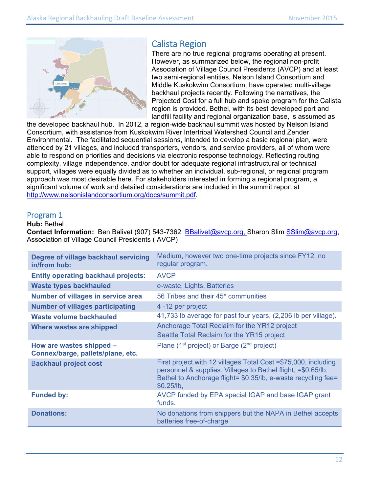

# Calista Region

There are no true regional programs operating at present. However, as summarized below, the regional non-profit Association of Village Council Presidents (AVCP) and at least two semi-regional entities, Nelson Island Consortium and Middle Kuskokwim Consortium, have operated multi-village backhaul projects recently. Following the narratives, the Projected Cost for a full hub and spoke program for the Calista region is provided. Bethel, with its best developed port and landfill facility and regional organization base, is assumed as

the developed backhaul hub. In 2012, a region-wide backhaul summit was hosted by Nelson Island Consortium, with assistance from Kuskokwim River Intertribal Watershed Council and Zender Environmental. The facilitated sequential sessions, intended to develop a basic regional plan, were attended by 21 villages, and included transporters, vendors, and service providers, all of whom were able to respond on priorities and decisions via electronic response technology. Reflecting routing complexity, village independence, and/or doubt for adequate regional infrastructural or technical support, villages were equally divided as to whether an individual, sub-regional, or regional program approach was most desirable here. For stakeholders interested in forming a regional program, a significant volume of work and detailed considerations are included in the summit report at http://www.nelsonislandconsortium.org/docs/summit.pdf.

### Program 1

#### **Hub:** Bethel

Contact Information: Ben Balivet (907) 543-7362 BBalivet@avcp.org, Sharon Slim SSlim@avcp.org, Association of Village Council Presidents ( AVCP)

| Degree of village backhaul servicing<br>in/from hub:          | Medium, however two one-time projects since FY12, no<br>regular program.                                                                                                                                       |
|---------------------------------------------------------------|----------------------------------------------------------------------------------------------------------------------------------------------------------------------------------------------------------------|
| <b>Entity operating backhaul projects:</b>                    | <b>AVCP</b>                                                                                                                                                                                                    |
| <b>Waste types backhauled</b>                                 | e-waste, Lights, Batteries                                                                                                                                                                                     |
| <b>Number of villages in service area</b>                     | 56 Tribes and their 45 <sup>*</sup> communities                                                                                                                                                                |
| <b>Number of villages participating</b>                       | 4 -12 per project                                                                                                                                                                                              |
| Waste volume backhauled                                       | 41,733 lb average for past four years, (2,206 lb per village).                                                                                                                                                 |
| Where wastes are shipped                                      | Anchorage Total Reclaim for the YR12 project<br>Seattle Total Reclaim for the YR15 project                                                                                                                     |
| How are wastes shipped -<br>Connex/barge, pallets/plane, etc. | Plane ( $1st$ project) or Barge ( $2nd$ project)                                                                                                                                                               |
| <b>Backhaul project cost</b>                                  | First project with 12 villages Total Cost = \$75,000, including<br>personnel & supplies. Villages to Bethel flight, =\$0.65/lb,<br>Bethel to Anchorage flight= \$0.35/lb, e-waste recycling fee=<br>\$0.25/lb. |
| <b>Funded by:</b>                                             | AVCP funded by EPA special IGAP and base IGAP grant<br>funds.                                                                                                                                                  |
| <b>Donations:</b>                                             | No donations from shippers but the NAPA in Bethel accepts<br>batteries free-of-charge                                                                                                                          |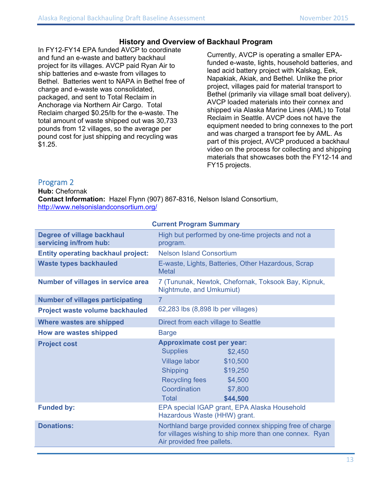#### **History and Overview of Backhaul Program**

In FY12-FY14 EPA funded AVCP to coordinate and fund an e-waste and battery backhaul project for its villages. AVCP paid Ryan Air to ship batteries and e-waste from villages to Bethel. Batteries went to NAPA in Bethel free of charge and e-waste was consolidated, packaged, and sent to Total Reclaim in Anchorage via Northern Air Cargo. Total Reclaim charged \$0.25/lb for the e-waste. The total amount of waste shipped out was 30,733 pounds from 12 villages, so the average per pound cost for just shipping and recycling was \$1.25.

Currently, AVCP is operating a smaller EPAfunded e-waste, lights, household batteries, and lead acid battery project with Kalskag, Eek, Napakiak, Akiak, and Bethel. Unlike the prior project, villages paid for material transport to Bethel (primarily via village small boat delivery). AVCP loaded materials into their connex and shipped via Alaska Marine Lines (AML) to Total Reclaim in Seattle. AVCP does not have the equipment needed to bring connexes to the port and was charged a transport fee by AML. As part of this project, AVCP produced a backhaul video on the process for collecting and shipping materials that showcases both the FY12-14 and FY15 projects.

### Program 2

**Hub:** Chefornak **Contact Information:** Hazel Flynn (907) 867-8316, Nelson Island Consortium, http://www.nelsonislandconsortium.org/

|                                                      | oan ciki rogram oannuary                                                                                                                                                                                               |
|------------------------------------------------------|------------------------------------------------------------------------------------------------------------------------------------------------------------------------------------------------------------------------|
| Degree of village backhaul<br>servicing in/from hub: | High but performed by one-time projects and not a<br>program.                                                                                                                                                          |
| <b>Entity operating backhaul project:</b>            | <b>Nelson Island Consortium</b>                                                                                                                                                                                        |
| <b>Waste types backhauled</b>                        | E-waste, Lights, Batteries, Other Hazardous, Scrap<br><b>Metal</b>                                                                                                                                                     |
| <b>Number of villages in service area</b>            | 7 (Tununak, Newtok, Chefornak, Toksook Bay, Kipnuk,<br>Nightmute, and Umkumiut)                                                                                                                                        |
| <b>Number of villages participating</b>              | $\overline{7}$                                                                                                                                                                                                         |
| Project waste volume backhauled                      | 62,283 lbs (8,898 lb per villages)                                                                                                                                                                                     |
| Where wastes are shipped                             | Direct from each village to Seattle                                                                                                                                                                                    |
| <b>How are wastes shipped</b>                        | <b>Barge</b>                                                                                                                                                                                                           |
| <b>Project cost</b>                                  | <b>Approximate cost per year:</b><br><b>Supplies</b><br>\$2,450<br>\$10,500<br>Village labor<br><b>Shipping</b><br>\$19,250<br>\$4,500<br><b>Recycling fees</b><br>Coordination<br>\$7,800<br><b>Total</b><br>\$44,500 |
| <b>Funded by:</b>                                    | EPA special IGAP grant, EPA Alaska Household<br>Hazardous Waste (HHW) grant.                                                                                                                                           |
| <b>Donations:</b>                                    | Northland barge provided connex shipping free of charge<br>for villages wishing to ship more than one connex. Ryan<br>Air provided free pallets.                                                                       |

#### **Current Program Summary**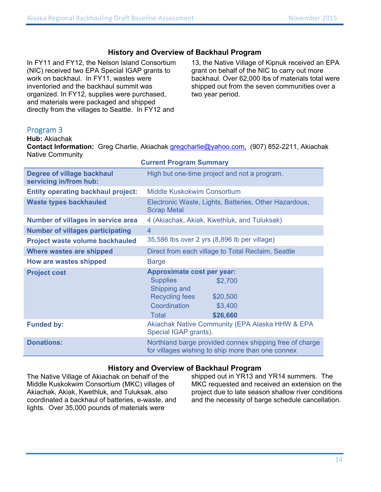#### **History and Overview of Backhaul Program**

In FY11 and FY12, the Nelson Island Consortium (NIC) received two EPA Special IGAP grants to work on backhaul. In FY11, wastes were inventoried and the backhaul summit was organized. In FY12, supplies were purchased, and materials were packaged and shipped directly from the villages to Seattle. In FY12 and

13, the Native Village of Kipnuk received an EPA grant on behalf of the NIC to carry out more backhaul. Over 62,000 lbs of materials total were shipped out from the seven communities over a two year period.

#### Program 3

**Hub:** Akiachak

**Contact Information:** Greg Charlie, Akiachak gregcharlie@yahoo.com, (907) 852-2211, Akiachak Native Community

| <b>Current Program Summary</b>                       |                                                                                                                                                                             |
|------------------------------------------------------|-----------------------------------------------------------------------------------------------------------------------------------------------------------------------------|
| Degree of village backhaul<br>servicing in/from hub: | High but one-time project and not a program.                                                                                                                                |
| <b>Entity operating backhaul project:</b>            | Middle Kuskokwim Consortium                                                                                                                                                 |
| <b>Waste types backhauled</b>                        | Electronic Waste, Lights, Batteries, Other Hazardous,<br><b>Scrap Metal</b>                                                                                                 |
| <b>Number of villages in service area</b>            | 4 (Akiachak, Akiak, Kwethluk, and Tuluksak)                                                                                                                                 |
| <b>Number of villages participating</b>              | $\overline{4}$                                                                                                                                                              |
| Project waste volume backhauled                      | 35,586 lbs over 2 yrs (8,896 lb per village)                                                                                                                                |
| Where wastes are shipped                             | Direct from each village to Total Reclaim, Seattle                                                                                                                          |
| <b>How are wastes shipped</b>                        | <b>Barge</b>                                                                                                                                                                |
| <b>Project cost</b>                                  | <b>Approximate cost per year:</b><br><b>Supplies</b><br>\$2,700<br>Shipping and<br><b>Recycling fees</b><br>\$20,500<br>Coordination<br>\$3,400<br>\$26,660<br><b>Total</b> |
| <b>Funded by:</b>                                    | Akiachak Native Community (EPA Alaska HHW & EPA<br>Special IGAP grants).                                                                                                    |
| <b>Donations:</b>                                    | Northland barge provided connex shipping free of charge<br>for villages wishing to ship more than one connex                                                                |

#### **History and Overview of Backhaul Program**

The Native Village of Akiachak on behalf of the Middle Kuskokwim Consortium (MKC) villages of Akiachak, Akiak, Kwethluk, and Tuluksak, also coordinated a backhaul of batteries, e-waste, and lights. Over 35,000 pounds of materials were

shipped out in YR13 and YR14 summers. The MKC requested and received an extension on the project due to late season shallow river conditions and the necessity of barge schedule cancellation.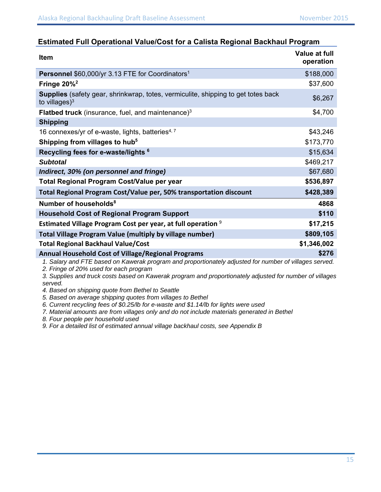| <b>Item</b>                                                                                                   | <b>Value at full</b><br>operation |
|---------------------------------------------------------------------------------------------------------------|-----------------------------------|
| Personnel \$60,000/yr 3.13 FTE for Coordinators <sup>1</sup>                                                  | \$188,000                         |
| Fringe $20\%^2$                                                                                               | \$37,600                          |
| <b>Supplies</b> (safety gear, shrinkwrap, totes, vermiculite, shipping to get totes back<br>to villages $)^3$ | \$6,267                           |
| <b>Flatbed truck</b> (insurance, fuel, and maintenance) $3$                                                   | \$4,700                           |
| <b>Shipping</b>                                                                                               |                                   |
| 16 connexes/yr of e-waste, lights, batteries <sup>4, 7</sup>                                                  | \$43,246                          |
| Shipping from villages to hub <sup>5</sup>                                                                    | \$173,770                         |
| Recycling fees for e-waste/lights <sup>6</sup>                                                                | \$15,634                          |
| <b>Subtotal</b>                                                                                               | \$469,217                         |
| Indirect, 30% (on personnel and fringe)                                                                       | \$67,680                          |
| Total Regional Program Cost/Value per year                                                                    | \$536,897                         |
| Total Regional Program Cost/Value per, 50% transportation discount                                            | \$428,389                         |
| Number of households <sup>8</sup>                                                                             | 4868                              |
| <b>Household Cost of Regional Program Support</b>                                                             | \$110                             |
| Estimated Village Program Cost per year, at full operation <sup>9</sup>                                       | \$17,215                          |
| <b>Total Village Program Value (multiply by village number)</b>                                               | \$809,105                         |
| <b>Total Regional Backhaul Value/Cost</b>                                                                     | \$1,346,002                       |
| <b>Annual Household Cost of Village/Regional Programs</b>                                                     | \$276                             |
| 1. Salary and FTE based on Kawerak program and proportionately adjusted for number of villages served.        |                                   |

#### **Estimated Full Operational Value/Cost for a Calista Regional Backhaul Program**

*2. Fringe of 20% used for each program* 

*3. Supplies and truck costs based on Kawerak program and proportionately adjusted for number of villages served.* 

*4. Based on shipping quote from Bethel to Seattle* 

*5. Based on average shipping quotes from villages to Bethel* 

*6. Current recycling fees of \$0.25/lb for e-waste and \$1.14/lb for lights were used* 

*7. Material amounts are from villages only and do not include materials generated in Bethel* 

*8. Four people per household used* 

*9. For a detailed list of estimated annual village backhaul costs, see Appendix B*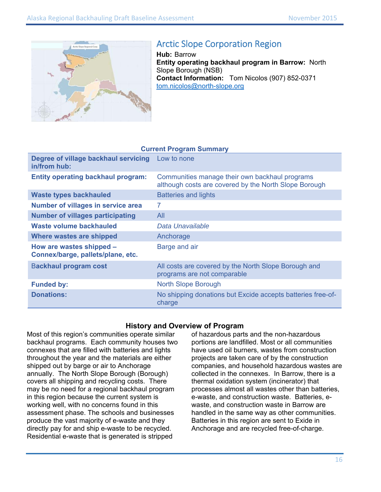

# Arctic Slope Corporation Region

**Hub:** Barrow **Entity operating backhaul program in Barrow:** North Slope Borough (NSB) **Contact Information:** Tom Nicolos (907) 852-0371 tom.nicolos@north-slope.org

#### **Current Program Summary**

| Degree of village backhaul servicing<br>in/from hub:          | Low to none                                                                                             |
|---------------------------------------------------------------|---------------------------------------------------------------------------------------------------------|
| <b>Entity operating backhaul program:</b>                     | Communities manage their own backhaul programs<br>although costs are covered by the North Slope Borough |
| <b>Waste types backhauled</b>                                 | <b>Batteries and lights</b>                                                                             |
| Number of villages in service area                            | 7                                                                                                       |
| <b>Number of villages participating</b>                       | All                                                                                                     |
| Waste volume backhauled                                       | Data Unavailable                                                                                        |
| Where wastes are shipped                                      | Anchorage                                                                                               |
| How are wastes shipped -<br>Connex/barge, pallets/plane, etc. | Barge and air                                                                                           |
| <b>Backhaul program cost</b>                                  | All costs are covered by the North Slope Borough and<br>programs are not comparable                     |
| <b>Funded by:</b>                                             | <b>North Slope Borough</b>                                                                              |
| <b>Donations:</b>                                             | No shipping donations but Excide accepts batteries free-of-<br>charge                                   |

#### **History and Overview of Program**

Most of this region's communities operate similar backhaul programs. Each community houses two connexes that are filled with batteries and lights throughout the year and the materials are either shipped out by barge or air to Anchorage annually. The North Slope Borough (Borough) covers all shipping and recycling costs. There may be no need for a regional backhaul program in this region because the current system is working well, with no concerns found in this assessment phase. The schools and businesses produce the vast majority of e-waste and they directly pay for and ship e-waste to be recycled. Residential e-waste that is generated is stripped

of hazardous parts and the non-hazardous portions are landfilled. Most or all communities have used oil burners, wastes from construction projects are taken care of by the construction companies, and household hazardous wastes are collected in the connexes. In Barrow, there is a thermal oxidation system (incinerator) that processes almost all wastes other than batteries, e-waste, and construction waste. Batteries, ewaste, and construction waste in Barrow are handled in the same way as other communities. Batteries in this region are sent to Exide in Anchorage and are recycled free-of-charge.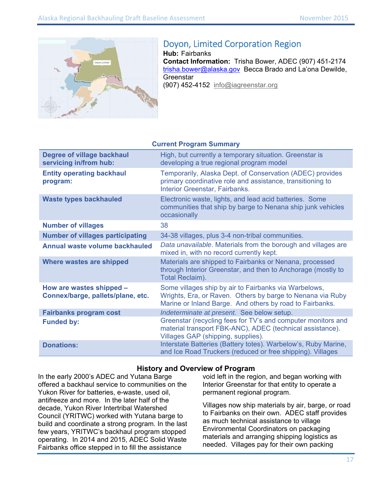

# Doyon, Limited Corporation Region

**Hub:** Fairbanks **Contact Information:** Trisha Bower, ADEC (907) 451-2174 trisha.bower@alaska.gov Becca Brado and La'ona Dewilde, Greenstar (907) 452-4152 info@iagreenstar.org

| oan ciki rogram oannuary                                      |                                                                                                                                                                                 |  |
|---------------------------------------------------------------|---------------------------------------------------------------------------------------------------------------------------------------------------------------------------------|--|
| Degree of village backhaul<br>servicing in/from hub:          | High, but currently a temporary situation. Greenstar is<br>developing a true regional program model                                                                             |  |
| <b>Entity operating backhaul</b><br>program:                  | Temporarily, Alaska Dept. of Conservation (ADEC) provides<br>primary coordinative role and assistance, transitioning to<br>Interior Greenstar, Fairbanks.                       |  |
| <b>Waste types backhauled</b>                                 | Electronic waste, lights, and lead acid batteries. Some<br>communities that ship by barge to Nenana ship junk vehicles<br>occasionally                                          |  |
| <b>Number of villages</b>                                     | 38                                                                                                                                                                              |  |
| <b>Number of villages participating</b>                       | 34-38 villages, plus 3-4 non-tribal communities.                                                                                                                                |  |
| <b>Annual waste volume backhauled</b>                         | Data unavailable. Materials from the borough and villages are<br>mixed in, with no record currently kept.                                                                       |  |
| Where wastes are shipped                                      | Materials are shipped to Fairbanks or Nenana, processed<br>through Interior Greenstar, and then to Anchorage (mostly to<br>Total Reclaim).                                      |  |
| How are wastes shipped -<br>Connex/barge, pallets/plane, etc. | Some villages ship by air to Fairbanks via Warbelows,<br>Wrights, Era, or Raven. Others by barge to Nenana via Ruby<br>Marine or Inland Barge. And others by road to Fairbanks. |  |
| <b>Fairbanks program cost</b>                                 | Indeterminate at present. See below setup.                                                                                                                                      |  |
| <b>Funded by:</b>                                             | Greenstar (recycling fees for TV's and computer monitors and<br>material transport FBK-ANC), ADEC (technical assistance).<br>Villages GAP (shipping, supplies).                 |  |
| <b>Donations:</b>                                             | Interstate Batteries (Battery totes). Warbelow's, Ruby Marine,<br>and Ice Road Truckers (reduced or free shipping). Villages                                                    |  |

#### **Current Program Summary**

#### **History and Overview of Program**

In the early 2000's ADEC and Yutana Barge offered a backhaul service to communities on the Yukon River for batteries, e-waste, used oil, antifreeze and more. In the later half of the decade, Yukon River Intertribal Watershed Council (YRITWC) worked with Yutana barge to build and coordinate a strong program. In the last few years, YRITWC's backhaul program stopped operating. In 2014 and 2015, ADEC Solid Waste Fairbanks office stepped in to fill the assistance

void left in the region, and began working with Interior Greenstar for that entity to operate a permanent regional program.

Villages now ship materials by air, barge, or road to Fairbanks on their own. ADEC staff provides as much technical assistance to village Environmental Coordinators on packaging materials and arranging shipping logistics as needed. Villages pay for their own packing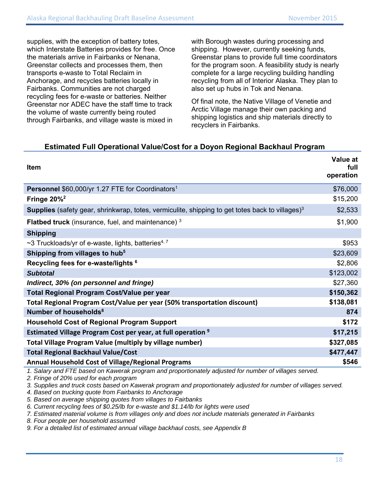supplies, with the exception of battery totes, which Interstate Batteries provides for free. Once the materials arrive in Fairbanks or Nenana, Greenstar collects and processes them, then transports e-waste to Total Reclaim in Anchorage, and recycles batteries locally in Fairbanks. Communities are not charged recycling fees for e-waste or batteries. Neither Greenstar nor ADEC have the staff time to track the volume of waste currently being routed through Fairbanks, and village waste is mixed in

with Borough wastes during processing and shipping. However, currently seeking funds, Greenstar plans to provide full time coordinators for the program soon. A feasibility study is nearly complete for a large recycling building handling recycling from all of Interior Alaska. They plan to also set up hubs in Tok and Nenana.

Of final note, the Native Village of Venetie and Arctic Village manage their own packing and shipping logistics and ship materials directly to recyclers in Fairbanks.

### **Estimated Full Operational Value/Cost for a Doyon Regional Backhaul Program**

| <b>Item</b>                                                                                                        | Value at<br>full<br>operation |
|--------------------------------------------------------------------------------------------------------------------|-------------------------------|
| Personnel \$60,000/yr 1.27 FTE for Coordinators <sup>1</sup>                                                       | \$76,000                      |
| Fringe $20\%^2$                                                                                                    | \$15,200                      |
| <b>Supplies</b> (safety gear, shrinkwrap, totes, vermiculite, shipping to get totes back to villages) <sup>3</sup> | \$2,533                       |
| Flatbed truck (insurance, fuel, and maintenance) <sup>3</sup>                                                      | \$1,900                       |
| <b>Shipping</b>                                                                                                    |                               |
| $\sim$ 3 Truckloads/yr of e-waste, lights, batteries <sup>4, 7</sup>                                               | \$953                         |
| Shipping from villages to hub <sup>5</sup>                                                                         | \$23,609                      |
| Recycling fees for e-waste/lights 6                                                                                | \$2,806                       |
| <b>Subtotal</b>                                                                                                    | \$123,002                     |
| Indirect, 30% (on personnel and fringe)                                                                            | \$27,360                      |
| Total Regional Program Cost/Value per year                                                                         | \$150,362                     |
| Total Regional Program Cost/Value per year (50% transportation discount)                                           | \$138,081                     |
| Number of households <sup>8</sup>                                                                                  | 874                           |
| <b>Household Cost of Regional Program Support</b>                                                                  | \$172                         |
| Estimated Village Program Cost per year, at full operation <sup>9</sup>                                            | \$17,215                      |
| <b>Total Village Program Value (multiply by village number)</b>                                                    | \$327,085                     |
| <b>Total Regional Backhaul Value/Cost</b>                                                                          | \$477,447                     |
| <b>Annual Household Cost of Village/Regional Programs</b>                                                          | \$546                         |
| 1. Salary and FTE based on Kawerak program and proportionately adjusted for number of villages served.             |                               |

*2. Fringe of 20% used for each program* 

*3. Supplies and truck costs based on Kawerak program and proportionately adjusted for number of villages served.* 

*4. Based on trucking quote from Fairbanks to Anchorage* 

*5. Based on average shipping quotes from villages to Fairbanks* 

*6. Current recycling fees of \$0.25/lb for e-waste and \$1.14/lb for lights were used* 

*7. Estimated material volume is from villages only and does not include materials generated in Fairbanks* 

*8. Four people per household assumed* 

*9. For a detailed list of estimated annual village backhaul costs, see Appendix B*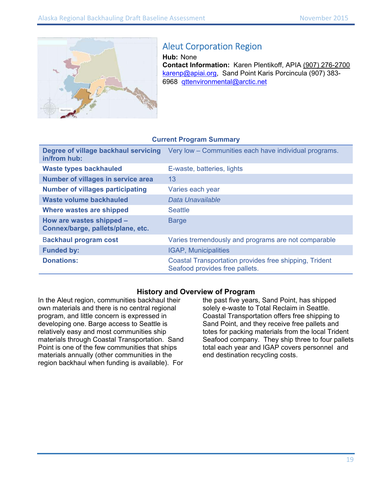

# Aleut Corporation Region

**Hub:** None **Contact Information:** Karen Plentikoff, APIA (907) 276-2700 karenp@apiai.org, Sand Point Karis Porcincula (907) 383- 6968 qttenvironmental@arctic.net

| Degree of village backhaul servicing<br>in/from hub:          | Very low - Communities each have individual programs.                                    |
|---------------------------------------------------------------|------------------------------------------------------------------------------------------|
| <b>Waste types backhauled</b>                                 | E-waste, batteries, lights                                                               |
| <b>Number of villages in service area</b>                     | 13                                                                                       |
| <b>Number of villages participating</b>                       | Varies each year                                                                         |
| Waste volume backhauled                                       | Data Unavailable                                                                         |
| Where wastes are shipped                                      | <b>Seattle</b>                                                                           |
| How are wastes shipped -<br>Connex/barge, pallets/plane, etc. | <b>Barge</b>                                                                             |
| <b>Backhaul program cost</b>                                  | Varies tremendously and programs are not comparable                                      |
| <b>Funded by:</b>                                             | <b>IGAP, Municipalities</b>                                                              |
| <b>Donations:</b>                                             | Coastal Transportation provides free shipping, Trident<br>Seafood provides free pallets. |

#### **Current Program Summary**

#### **History and Overview of Program**

In the Aleut region, communities backhaul their own materials and there is no central regional program, and little concern is expressed in developing one. Barge access to Seattle is relatively easy and most communities ship materials through Coastal Transportation. Sand Point is one of the few communities that ships materials annually (other communities in the region backhaul when funding is available). For the past five years, Sand Point, has shipped solely e-waste to Total Reclaim in Seattle. Coastal Transportation offers free shipping to Sand Point, and they receive free pallets and totes for packing materials from the local Trident Seafood company. They ship three to four pallets total each year and IGAP covers personnel and end destination recycling costs.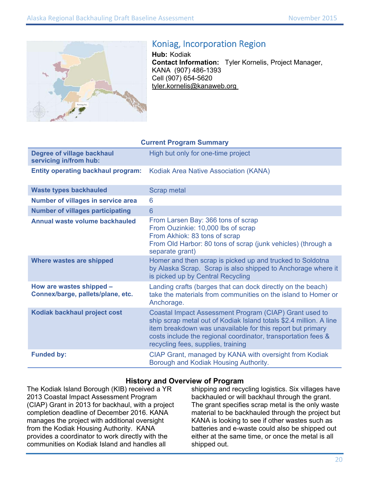

# Koniag, Incorporation Region

**Hub:** Kodiak **Contact Information:** Tyler Kornelis, Project Manager, KANA (907) 486-1393 Cell (907) 654-5620 tyler.kornelis@kanaweb.org

#### **Current Program Summary**

| Degree of village backhaul<br>servicing in/from hub: | High but only for one-time project    |
|------------------------------------------------------|---------------------------------------|
| <b>Entity operating backhaul program:</b>            | Kodiak Area Native Association (KANA) |

| <b>Waste types backhauled</b>                                 | <b>Scrap metal</b>                                                                                                                                                                                                                                                                                |
|---------------------------------------------------------------|---------------------------------------------------------------------------------------------------------------------------------------------------------------------------------------------------------------------------------------------------------------------------------------------------|
| <b>Number of villages in service area</b>                     | 6                                                                                                                                                                                                                                                                                                 |
| <b>Number of villages participating</b>                       | 6                                                                                                                                                                                                                                                                                                 |
| Annual waste volume backhauled                                | From Larsen Bay: 366 tons of scrap<br>From Ouzinkie: 10,000 lbs of scrap<br>From Akhiok: 83 tons of scrap<br>From Old Harbor: 80 tons of scrap (junk vehicles) (through a<br>separate grant)                                                                                                      |
| Where wastes are shipped                                      | Homer and then scrap is picked up and trucked to Soldotna<br>by Alaska Scrap. Scrap is also shipped to Anchorage where it<br>is picked up by Central Recycling                                                                                                                                    |
| How are wastes shipped -<br>Connex/barge, pallets/plane, etc. | Landing crafts (barges that can dock directly on the beach)<br>take the materials from communities on the island to Homer or<br>Anchorage.                                                                                                                                                        |
| Kodiak backhaul project cost                                  | Coastal Impact Assessment Program (CIAP) Grant used to<br>ship scrap metal out of Kodiak Island totals \$2.4 million. A line<br>item breakdown was unavailable for this report but primary<br>costs include the regional coordinator, transportation fees &<br>recycling fees, supplies, training |
| <b>Funded by:</b>                                             | CIAP Grant, managed by KANA with oversight from Kodiak<br>Borough and Kodiak Housing Authority.                                                                                                                                                                                                   |

#### **History and Overview of Program**

The Kodiak Island Borough (KIB) received a YR 2013 Coastal Impact Assessment Program (CIAP) Grant in 2013 for backhaul, with a project completion deadline of December 2016. KANA manages the project with additional oversight from the Kodiak Housing Authority. KANA provides a coordinator to work directly with the communities on Kodiak Island and handles all

shipping and recycling logistics. Six villages have backhauled or will backhaul through the grant. The grant specifies scrap metal is the only waste material to be backhauled through the project but KANA is looking to see if other wastes such as batteries and e-waste could also be shipped out either at the same time, or once the metal is all shipped out.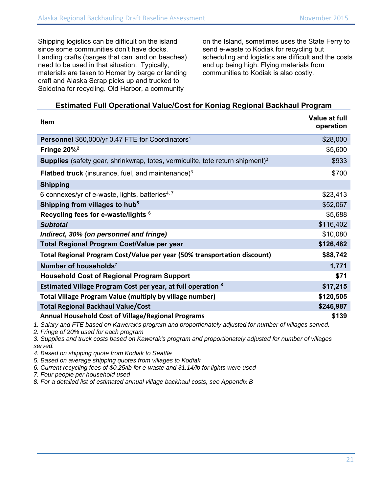Shipping logistics can be difficult on the island since some communities don't have docks. Landing crafts (barges that can land on beaches) need to be used in that situation. Typically, materials are taken to Homer by barge or landing craft and Alaska Scrap picks up and trucked to Soldotna for recycling. Old Harbor, a community

on the Island, sometimes uses the State Ferry to send e-waste to Kodiak for recycling but scheduling and logistics are difficult and the costs end up being high. Flying materials from communities to Kodiak is also costly.

#### **Estimated Full Operational Value/Cost for Koniag Regional Backhaul Program**

| Item                                                                                                 | Value at full<br>operation |
|------------------------------------------------------------------------------------------------------|----------------------------|
| Personnel \$60,000/yr 0.47 FTE for Coordinators <sup>1</sup>                                         | \$28,000                   |
| Fringe $20\%^2$                                                                                      | \$5,600                    |
| <b>Supplies</b> (safety gear, shrinkwrap, totes, vermiculite, tote return shipment) <sup>3</sup>     | \$933                      |
| Flatbed truck (insurance, fuel, and maintenance) <sup>3</sup>                                        | \$700                      |
| <b>Shipping</b>                                                                                      |                            |
| 6 connexes/yr of e-waste, lights, batteries <sup>4, 7</sup>                                          | \$23,413                   |
| Shipping from villages to hub <sup>5</sup>                                                           | \$52,067                   |
| Recycling fees for e-waste/lights <sup>6</sup>                                                       | \$5,688                    |
| <b>Subtotal</b>                                                                                      | \$116,402                  |
| Indirect, 30% (on personnel and fringe)                                                              | \$10,080                   |
| Total Regional Program Cost/Value per year                                                           | \$126,482                  |
| Total Regional Program Cost/Value per year (50% transportation discount)                             | \$88,742                   |
| Number of households <sup>7</sup>                                                                    | 1,771                      |
| <b>Household Cost of Regional Program Support</b>                                                    | \$71                       |
| Estimated Village Program Cost per year, at full operation <sup>8</sup>                              | \$17,215                   |
| <b>Total Village Program Value (multiply by village number)</b>                                      | \$120,505                  |
| <b>Total Regional Backhaul Value/Cost</b>                                                            | \$246,987                  |
| <b>Annual Household Cost of Village/Regional Programs</b>                                            | \$139                      |
| Salary and ETF hased on Kawerak's program and proportionately adjusted for number of villages served |                            |

*1. Salary and FTE based on Kawerak's program and proportionately adjusted for number of villages served.* 

*2. Fringe of 20% used for each program* 

*3. Supplies and truck costs based on Kawerak's program and proportionately adjusted for number of villages served.* 

*4. Based on shipping quote from Kodiak to Seattle* 

*5. Based on average shipping quotes from villages to Kodiak* 

*6. Current recycling fees of \$0.25/lb for e-waste and \$1.14/lb for lights were used* 

*7. Four people per household used* 

*8. For a detailed list of estimated annual village backhaul costs, see Appendix B*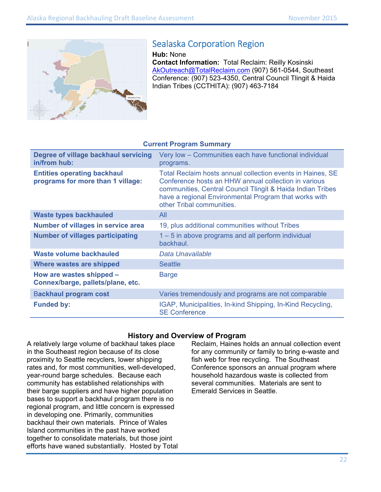

# Sealaska Corporation Region

**Hub:** None **Contact Information:** Total Reclaim: Reilly Kosinski AkOutreach@TotalReclaim.com (907) 561-0544, Southeast Conference: (907) 523-4350, Central Council Tlingit & Haida Indian Tribes (CCTHITA): (907) 463-7184

#### **Degree of village backhaul servicing in/from hub:**  Very low – Communities each have functional individual programs. **Entities operating backhaul programs for more than 1 village:**  Total Reclaim hosts annual collection events in Haines, SE Conference hosts an HHW annual collection in various communities, Central Council Tlingit & Haida Indian Tribes have a regional Environmental Program that works with other Tribal communities. **Waste types backhauled Maste Hypes backhauled Number of villages in service area** 19, plus additional communities without Tribes **Number of villages participating** 1 – 5 in above programs and all perform individual backhaul. **Waste volume backhauled** *Data Unavailable*  **Where wastes are shipped Seattle Seattle How are wastes shipped – Connex/barge, pallets/plane, etc. Barge** B**ackhaul program cost** Varies tremendously and programs are not comparable **Funded by: IGAP, Municipalities, In-kind Shipping, In-Kind Recycling,** SE Conference

#### **Current Program Summary**

#### **History and Overview of Program**

A relatively large volume of backhaul takes place in the Southeast region because of its close proximity to Seattle recyclers, lower shipping rates and, for most communities, well-developed, year-round barge schedules. Because each community has established relationships with their barge suppliers and have higher population bases to support a backhaul program there is no regional program, and little concern is expressed in developing one. Primarily, communities backhaul their own materials. Prince of Wales Island communities in the past have worked together to consolidate materials, but those joint efforts have waned substantially. Hosted by Total

Reclaim, Haines holds an annual collection event for any community or family to bring e-waste and fish web for free recycling. The Southeast Conference sponsors an annual program where household hazardous waste is collected from several communities. Materials are sent to Emerald Services in Seattle.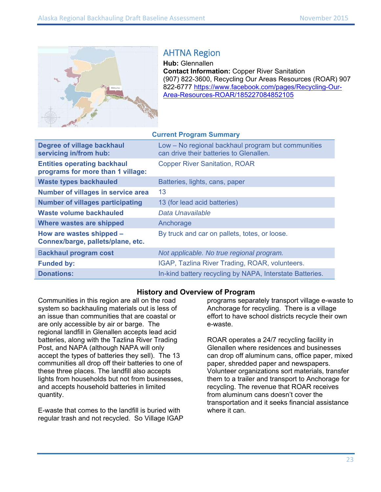

### AHTNA Region

**Hub:** Glennallen **Contact Information:** Copper River Sanitation (907) 822-3600, Recycling Our Areas Resources (ROAR) 907 822-6777 https://www.facebook.com/pages/Recycling-Our-Area-Resources-ROAR/185227084852105

|                                                                         | <b>Current Program Summary</b>                                                                |
|-------------------------------------------------------------------------|-----------------------------------------------------------------------------------------------|
| Degree of village backhaul<br>servicing in/from hub:                    | Low – No regional backhaul program but communities<br>can drive their batteries to Glenallen. |
| <b>Entities operating backhaul</b><br>programs for more than 1 village: | <b>Copper River Sanitation, ROAR</b>                                                          |
| <b>Waste types backhauled</b>                                           | Batteries, lights, cans, paper                                                                |
| <b>Number of villages in service area</b>                               | 13                                                                                            |
| <b>Number of villages participating</b>                                 | 13 (for lead acid batteries)                                                                  |
| Waste volume backhauled                                                 | Data Unavailable                                                                              |
| Where wastes are shipped                                                | Anchorage                                                                                     |
| How are wastes shipped -<br>Connex/barge, pallets/plane, etc.           | By truck and car on pallets, totes, or loose.                                                 |
| <b>Backhaul program cost</b>                                            | Not applicable. No true regional program.                                                     |
| <b>Funded by:</b>                                                       | IGAP, Tazlina River Trading, ROAR, volunteers.                                                |
| <b>Donations:</b>                                                       | In-kind battery recycling by NAPA, Interstate Batteries.                                      |

### **History and Overview of Program**

Communities in this region are all on the road system so backhauling materials out is less of an issue than communities that are coastal or are only accessible by air or barge. The regional landfill in Glenallen accepts lead acid batteries, along with the Tazlina River Trading Post, and NAPA (although NAPA will only accept the types of batteries they sell). The 13 communities all drop off their batteries to one of these three places. The landfill also accepts lights from households but not from businesses, and accepts household batteries in limited quantity.

E-waste that comes to the landfill is buried with regular trash and not recycled. So Village IGAP programs separately transport village e-waste to Anchorage for recycling. There is a village effort to have school districts recycle their own e-waste.

ROAR operates a 24/7 recycling facility in Glenallen where residences and businesses can drop off aluminum cans, office paper, mixed paper, shredded paper and newspapers. Volunteer organizations sort materials, transfer them to a trailer and transport to Anchorage for recycling. The revenue that ROAR receives from aluminum cans doesn't cover the transportation and it seeks financial assistance where it can.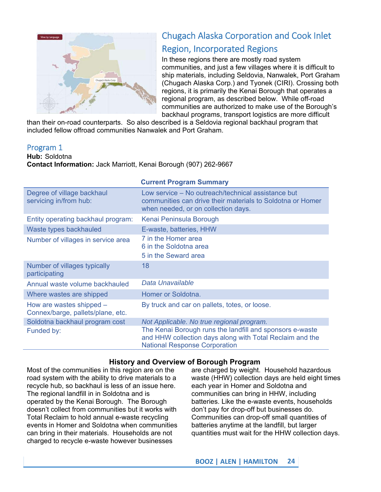

# Chugach Alaska Corporation and Cook Inlet

# Region, Incorporated Regions

In these regions there are mostly road system communities, and just a few villages where it is difficult to ship materials, including Seldovia, Nanwalek, Port Graham (Chugach Alaska Corp.) and Tyonek (CIRI). Crossing both regions, it is primarily the Kenai Borough that operates a regional program, as described below. While off-road communities are authorized to make use of the Borough's backhaul programs, transport logistics are more difficult

than their on-road counterparts. So also described is a Seldovia regional backhaul program that included fellow offroad communities Nanwalek and Port Graham.

#### Program 1

**Hub:** Soldotna **Contact Information:** Jack Marriott, Kenai Borough (907) 262-9667

| Degree of village backhaul<br>servicing in/from hub:          | Low service – No outreach/technical assistance but<br>communities can drive their materials to Soldotna or Homer<br>when needed, or on collection days.      |
|---------------------------------------------------------------|--------------------------------------------------------------------------------------------------------------------------------------------------------------|
| Entity operating backhaul program:                            | Kenai Peninsula Borough                                                                                                                                      |
| Waste types backhauled                                        | E-waste, batteries, HHW                                                                                                                                      |
| Number of villages in service area                            | 7 in the Homer area<br>6 in the Soldotna area<br>5 in the Seward area                                                                                        |
| Number of villages typically<br>participating                 | 18                                                                                                                                                           |
| Annual waste volume backhauled                                | Data Unavailable                                                                                                                                             |
| Where wastes are shipped                                      | Homer or Soldotna.                                                                                                                                           |
| How are wastes shipped -<br>Connex/barge, pallets/plane, etc. | By truck and car on pallets, totes, or loose.                                                                                                                |
| Soldotna backhaul program cost                                | Not Applicable. No true regional program.                                                                                                                    |
| Funded by:                                                    | The Kenai Borough runs the landfill and sponsors e-waste<br>and HHW collection days along with Total Reclaim and the<br><b>National Response Corporation</b> |

#### **Current Program Summary**

#### **History and Overview of Borough Program**

Most of the communities in this region are on the road system with the ability to drive materials to a recycle hub, so backhaul is less of an issue here. The regional landfill in in Soldotna and is operated by the Kenai Borough. The Borough doesn't collect from communities but it works with Total Reclaim to hold annual e-waste recycling events in Homer and Soldotna when communities can bring in their materials. Households are not charged to recycle e-waste however businesses

are charged by weight. Household hazardous waste (HHW) collection days are held eight times each year in Homer and Soldotna and communities can bring in HHW, including batteries. Like the e-waste events, households don't pay for drop-off but businesses do. Communities can drop-off small quantities of batteries anytime at the landfill, but larger quantities must wait for the HHW collection days.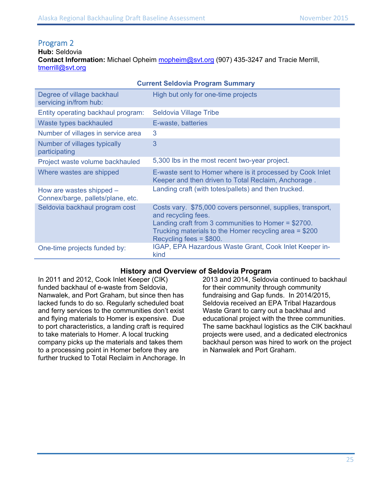### Program 2

**Hub:** Seldovia

**Contact Information:** Michael Opheim mopheim@svt.org (907) 435-3247 and Tracie Merrill, tmerrill@svt.org

| <b>Current Seldovia Program Summary</b>                       |                                                                                                                                                                                                                                    |  |  |
|---------------------------------------------------------------|------------------------------------------------------------------------------------------------------------------------------------------------------------------------------------------------------------------------------------|--|--|
| Degree of village backhaul<br>servicing in/from hub:          | High but only for one-time projects                                                                                                                                                                                                |  |  |
| Entity operating backhaul program:                            | Seldovia Village Tribe                                                                                                                                                                                                             |  |  |
| Waste types backhauled                                        | E-waste, batteries                                                                                                                                                                                                                 |  |  |
| Number of villages in service area                            | 3                                                                                                                                                                                                                                  |  |  |
| Number of villages typically<br>participating                 | 3                                                                                                                                                                                                                                  |  |  |
| Project waste volume backhauled                               | 5,300 lbs in the most recent two-year project.                                                                                                                                                                                     |  |  |
| Where wastes are shipped                                      | E-waste sent to Homer where is it processed by Cook Inlet<br>Keeper and then driven to Total Reclaim, Anchorage.                                                                                                                   |  |  |
| How are wastes shipped -<br>Connex/barge, pallets/plane, etc. | Landing craft (with totes/pallets) and then trucked.                                                                                                                                                                               |  |  |
| Seldovia backhaul program cost                                | Costs vary. \$75,000 covers personnel, supplies, transport,<br>and recycling fees.<br>Landing craft from 3 communities to Homer $= $2700$ .<br>Trucking materials to the Homer recycling area = \$200<br>Recycling fees $= $800$ . |  |  |
| One-time projects funded by:                                  | IGAP, EPA Hazardous Waste Grant, Cook Inlet Keeper in-<br>kind                                                                                                                                                                     |  |  |

#### **History and Overview of Seldovia Program**

In 2011 and 2012, Cook Inlet Keeper (CIK) funded backhaul of e-waste from Seldovia, Nanwalek, and Port Graham, but since then has lacked funds to do so. Regularly scheduled boat and ferry services to the communities don't exist and flying materials to Homer is expensive. Due to port characteristics, a landing craft is required to take materials to Homer. A local trucking company picks up the materials and takes them to a processing point in Homer before they are further trucked to Total Reclaim in Anchorage. In

2013 and 2014, Seldovia continued to backhaul for their community through community fundraising and Gap funds. In 2014/2015, Seldovia received an EPA Tribal Hazardous Waste Grant to carry out a backhaul and educational project with the three communities. The same backhaul logistics as the CIK backhaul projects were used, and a dedicated electronics backhaul person was hired to work on the project in Nanwalek and Port Graham.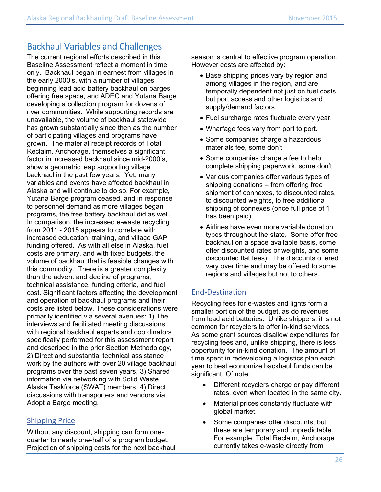# Backhaul Variables and Challenges

The current regional efforts described in this Baseline Assessment reflect a moment in time only. Backhaul began in earnest from villages in the early 2000's, with a number of villages beginning lead acid battery backhaul on barges offering free space, and ADEC and Yutana Barge developing a collection program for dozens of river communities. While supporting records are unavailable, the volume of backhaul statewide has grown substantially since then as the number of participating villages and programs have grown. The material receipt records of Total Reclaim, Anchorage, themselves a significant factor in increased backhaul since mid-2000's, show a geometric leap supporting village backhaul in the past few years. Yet, many variables and events have affected backhaul in Alaska and will continue to do so. For example, Yutana Barge program ceased, and in response to personnel demand as more villages began programs, the free battery backhaul did as well. In comparison, the increased e-waste recycling from 2011 - 2015 appears to correlate with increased education, training, and village GAP funding offered. As with all else in Alaska, fuel costs are primary, and with fixed budgets, the volume of backhaul that is feasible changes with this commodity. There is a greater complexity than the advent and decline of programs, technical assistance, funding criteria, and fuel cost. Significant factors affecting the development and operation of backhaul programs and their costs are listed below. These considerations were primarily identified via several avenues: 1) The interviews and facilitated meeting discussions with regional backhaul experts and coordinators specifically performed for this assessment report and described in the prior Section Methodology, 2) Direct and substantial technical assistance work by the authors with over 20 village backhaul programs over the past seven years, 3) Shared information via networking with Solid Waste Alaska Taskforce (SWAT) members, 4) Direct discussions with transporters and vendors via Adopt a Barge meeting.

### Shipping Price

Without any discount, shipping can form onequarter to nearly one-half of a program budget. Projection of shipping costs for the next backhaul

season is central to effective program operation. However costs are affected by:

- Base shipping prices vary by region and among villages in the region, and are temporally dependent not just on fuel costs but port access and other logistics and supply/demand factors.
- Fuel surcharge rates fluctuate every year.
- Wharfage fees vary from port to port.
- Some companies charge a hazardous materials fee, some don't
- Some companies charge a fee to help complete shipping paperwork, some don't
- Various companies offer various types of shipping donations – from offering free shipment of connexes, to discounted rates, to discounted weights, to free additional shipping of connexes (once full price of 1 has been paid)
- Airlines have even more variable donation types throughout the state. Some offer free backhaul on a space available basis, some offer discounted rates or weights, and some discounted flat fees). The discounts offered vary over time and may be offered to some regions and villages but not to others.

### End‐Destination

Recycling fees for e-wastes and lights form a smaller portion of the budget, as do revenues from lead acid batteries. Unlike shippers, it is not common for recyclers to offer in-kind services. As some grant sources disallow expenditures for recycling fees and, unlike shipping, there is less opportunity for in-kind donation. The amount of time spent in redeveloping a logistics plan each year to best economize backhaul funds can be significant. Of note:

- Different recyclers charge or pay different rates, even when located in the same city.
- Material prices constantly fluctuate with global market.
- Some companies offer discounts, but these are temporary and unpredictable. For example, Total Reclaim, Anchorage currently takes e-waste directly from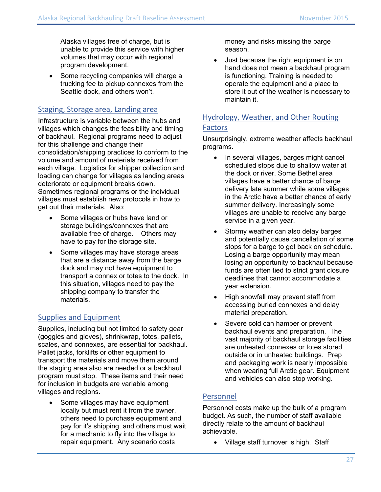Alaska villages free of charge, but is unable to provide this service with higher volumes that may occur with regional program development.

• Some recycling companies will charge a trucking fee to pickup connexes from the Seattle dock, and others won't.

### Staging, Storage area, Landing area

Infrastructure is variable between the hubs and villages which changes the feasibility and timing of backhaul. Regional programs need to adjust for this challenge and change their consolidation/shipping practices to conform to the volume and amount of materials received from each village. Logistics for shipper collection and loading can change for villages as landing areas deteriorate or equipment breaks down. Sometimes regional programs or the individual villages must establish new protocols in how to get out their materials. Also:

- Some villages or hubs have land or storage buildings/connexes that are available free of charge. Others may have to pay for the storage site.
- Some villages may have storage areas that are a distance away from the barge dock and may not have equipment to transport a connex or totes to the dock. In this situation, villages need to pay the shipping company to transfer the materials.

### Supplies and Equipment

Supplies, including but not limited to safety gear (goggles and gloves), shrinkwrap, totes, pallets, scales, and connexes, are essential for backhaul. Pallet jacks, forklifts or other equipment to transport the materials and move them around the staging area also are needed or a backhaul program must stop. These items and their need for inclusion in budgets are variable among villages and regions.

• Some villages may have equipment locally but must rent it from the owner, others need to purchase equipment and pay for it's shipping, and others must wait for a mechanic to fly into the village to repair equipment. Any scenario costs

money and risks missing the barge season.

 Just because the right equipment is on hand does not mean a backhaul program is functioning. Training is needed to operate the equipment and a place to store it out of the weather is necessary to maintain it.

### Hydrology, Weather, and Other Routing Factors

Unsurprisingly, extreme weather affects backhaul programs.

- In several villages, barges might cancel scheduled stops due to shallow water at the dock or river. Some Bethel area villages have a better chance of barge delivery late summer while some villages in the Arctic have a better chance of early summer delivery. Increasingly some villages are unable to receive any barge service in a given year.
- Stormy weather can also delay barges and potentially cause cancellation of some stops for a barge to get back on schedule. Losing a barge opportunity may mean losing an opportunity to backhaul because funds are often tied to strict grant closure deadlines that cannot accommodate a year extension.
- High snowfall may prevent staff from accessing buried connexes and delay material preparation.
- Severe cold can hamper or prevent backhaul events and preparation. The vast majority of backhaul storage facilities are unheated connexes or totes stored outside or in unheated buildings. Prep and packaging work is nearly impossible when wearing full Arctic gear. Equipment and vehicles can also stop working.

### Personnel

Personnel costs make up the bulk of a program budget. As such, the number of staff available directly relate to the amount of backhaul achievable.

• Village staff turnover is high. Staff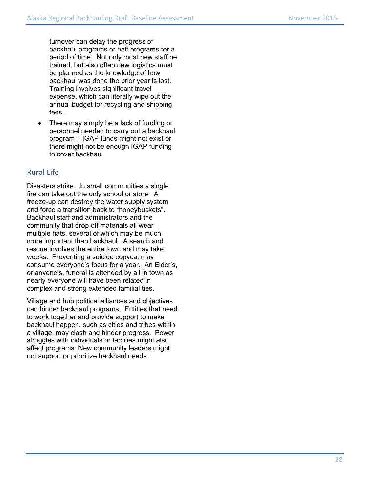turnover can delay the progress of backhaul programs or halt programs for a period of time. Not only must new staff be trained, but also often new logistics must be planned as the knowledge of how backhaul was done the prior year is lost. Training involves significant travel expense, which can literally wipe out the annual budget for recycling and shipping fees.

• There may simply be a lack of funding or personnel needed to carry out a backhaul program – IGAP funds might not exist or there might not be enough IGAP funding to cover backhaul.

### Rural Life

Disasters strike. In small communities a single fire can take out the only school or store. A freeze-up can destroy the water supply system and force a transition back to "honeybuckets". Backhaul staff and administrators and the community that drop off materials all wear multiple hats, several of which may be much more important than backhaul. A search and rescue involves the entire town and may take weeks. Preventing a suicide copycat may consume everyone's focus for a year. An Elder's, or anyone's, funeral is attended by all in town as nearly everyone will have been related in complex and strong extended familial ties.

Village and hub political alliances and objectives can hinder backhaul programs. Entities that need to work together and provide support to make backhaul happen, such as cities and tribes within a village, may clash and hinder progress. Power struggles with individuals or families might also affect programs. New community leaders might not support or prioritize backhaul needs.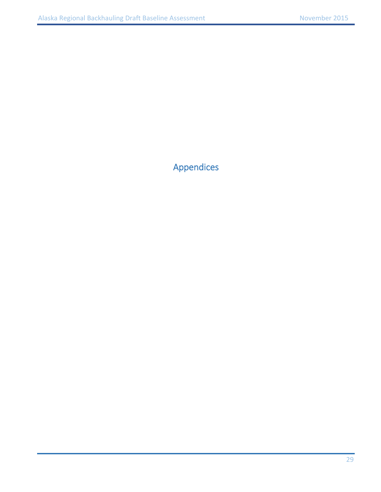Appendices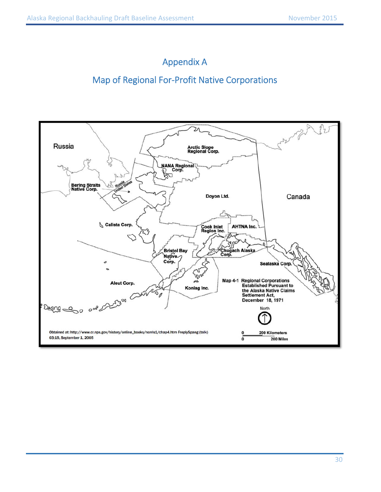# Appendix A

# Map of Regional For‐Profit Native Corporations

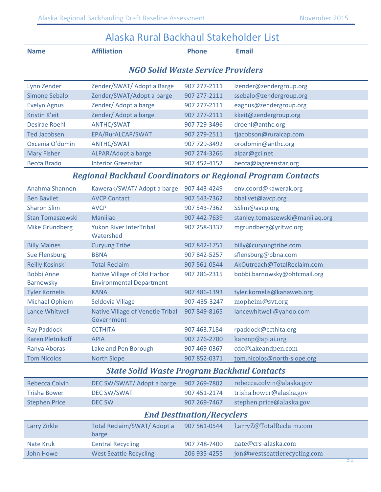### **Name Constructs Affiliation Constructs Phone Email** *NGO Solid Waste Service Providers* Lynn Zender Zender/SWAT/ Adopt a Barge 907 277‐2111 lzender@zendergroup.org Simone Sebalo Zender/SWAT/Adopt a barge 907 277-2111 ssebalo@zendergroup.org Evelyn Agnus Zender/ Adopt a barge 907 277-2111 eagnus@zendergroup.org Kristin K'eit Zender/ Adopt a barge 907 277-2111 kkeit@zendergroup.org Desirae Roehl ANTHC/SWAT 907 729-3496 droehl@anthc.org Ted Jacobsen EPA/RurALCAP/SWAT 907 279-2511 tjacobson@ruralcap.com Oxcenia O'domin ANTHC/SWAT 907 729‐3492 orodomin@anthc.org Mary Fisher ALPAR/Adopt a barge 907 274-3266 alpar@gci.net Becca Brado Interior Greenstar 907 452-4152 becca@iagreenstar.org *Regional Backhaul Coordinators or Regional Program Contacts* Anahma Shannon Kawerak/SWAT/ Adopt a barge 907 443‐4249 env.coord@kawerak.org Ben Bavilet AVCP Contact 907 543-7362 bbalivet@avcp.org Sharon Slim AVCP 907 543‐7362 SSlim@avcp.org Stan Tomaszewski Maniilaq 1997 1997 907 442-7639 stanley.tomaszewski@maniilaq.org Mike Grundberg Yukon River InterTribal Watershed 907 258‐3337 mgrundberg@yritwc.org Billy Maines Curyung Tribe 907 842‐1751 billy@curyungtribe.com Sue Flensburg BBNA BBNA 907 842-5257 sflensburg@bbna.com Reilly Kosinski Total Reclaim 907 561-0544 AkOutreach@TotalReclaim.com Bobbi Anne Barnowsky Native Village of Old Harbor Environmental Department 907 286-2315 bobbi.barnowsky@ohtcmail.org Tyler Kornelis KANA KANA 907 486-1393 tyler.kornelis@kanaweb.org Michael Ophiem Seldovia Village 907-435-3247 mopheim@svt.org Lance Whitwell Mative Village of Venetie Tribal Government 907 849‐8165 lancewhitwell@yahoo.com Ray Paddock CCTHITA 907 463.7184 rpaddock@ccthita.org Karen Pletnikoff APIA 907 276‐2700 karenp@apiai.org Ranya Aboras Lake and Pen Borough 907 469-0367 cdc@lakeandpen.com Tom Nicolos North Slope 907 852-0371 tom.nicolos@north-slope.org *State Solid Waste Program Backhaul Contacts* Rebecca Colvin DEC SW/SWAT/ Adopt a barge 907 269-7802 rebecca.colvin@alaska.gov Trisha Bower DEC SW/SWAT 907 451-2174 trisha.bower@alaska.gov Stephen Price DEC SW 907 269-7467 stephen.price@alaska.gov *End Destination/Recyclers* Larry Zirkle **Total Reclaim/SWAT/ Adopt a** barge 907 561‐0544 LarryZ@TotalReclaim.com Nate Kruk Central Recycling 907 748-7400 nate@crs-alaska.com John Howe 
West Seattle Recycling
206 935-4255 jon@westseattlerecycling.com

# Alaska Rural Backhaul Stakeholder List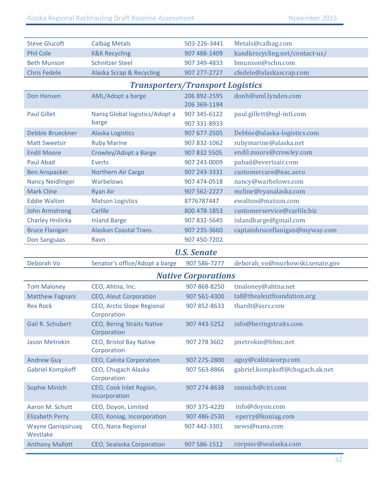| <b>Steve Glucoft</b>                         | <b>Calbag Metals</b>                                                  | 503-226-3441               | Metals@calbag.com               |
|----------------------------------------------|-----------------------------------------------------------------------|----------------------------|---------------------------------|
| <b>Phil Cole</b>                             | <b>K&amp;K Recycling</b>                                              | 907 488-1409               | kandkrecycling.net/contact-us/  |
| <b>Beth Munson</b>                           | <b>Schnitzer Steel</b>                                                | 907 349-4833               | bmunson@schn.com                |
| <b>Chris Fedele</b>                          | Alaska Scrap & Recycling                                              | 907 277-2727               | cfedele@alaskascrap.com         |
|                                              | <b>Transporters/Transport Logistics</b>                               |                            |                                 |
| Don Hansen                                   | AML/Adopt a barge                                                     | 206 892-2595               | donh@aml.lynden.com             |
|                                              |                                                                       | 206 369-1194               |                                 |
| <b>Paul Gillet</b>                           | Naniq Global logistics/Adopt a                                        | 907 345-6122               | paul.gillett@ngl-intl.com       |
|                                              | barge                                                                 | 907 331-8933               |                                 |
| Debbie Brueckner                             | <b>Alaska Logistics</b>                                               | 907 677-2505               | Debbie@alaska-logistics.com     |
| <b>Matt Sweetsir</b>                         | <b>Ruby Marine</b>                                                    | 907 832-1062               | rubymarine@alaska.net           |
| <b>Endil Moore</b>                           | Crowley/Adopt a Barge                                                 | 907 832 5505               | endil.moore@crowley.com         |
| <b>Paul Abad</b>                             | <b>Everts</b>                                                         | 907 243-0009               | pabad@evertsair.com             |
| <b>Ben Anspacker</b>                         | Northern Air Cargo                                                    | 907 243-3331               | customercare@nac.aero           |
| <b>Nancy Neidlinger</b>                      | Warbelows                                                             | 907 474-0518               | nancy@warbelows.com             |
| <b>Mark Cline</b>                            | <b>Ryan Air</b>                                                       | 907 562-2227               | mcline@ryanalaska.com           |
| <b>Eddie Walton</b>                          | <b>Matson Logistics</b>                                               | 8776787447                 | ewalton@matson.com              |
| <b>John Armstrong</b>                        | Carlile                                                               | 800 478-1853               | customerservice@carlile.biz     |
| <b>Charley Hnilicka</b>                      | <b>Inland Barge</b>                                                   | 907 832-5645               | inlandbarge@gmail.com           |
| <b>Bruce Flanigan</b>                        | Alaskan Coastal Trans.                                                | 907 235-3660               | captainbruceflanigan@myway.com  |
| <b>Don Sangsaas</b>                          | Ravn                                                                  | 907 450-7202               |                                 |
|                                              |                                                                       |                            |                                 |
|                                              |                                                                       | <b>U.S. Senate</b>         |                                 |
| Deborah Vo                                   | Senator's office/Adopt a barge                                        | 907 586-7277               | deborah_vo@murkowski.senate.gov |
|                                              |                                                                       | <b>Native Corporations</b> |                                 |
| <b>Tom Maloney</b>                           | CEO, Ahtna, Inc.                                                      | 907 868-8250               | tmaloney@ahtna.net              |
| <b>Matthew Fagnani</b>                       | <b>CEO, Aleut Corporation</b>                                         | 907 561-4300               | taf@thealeutfoundation.org      |
| <b>Rex Rock</b>                              | <b>CEO, Arctic Slope Regional</b><br>Corporation                      | 907 852-8633               | thardt@asrc.com                 |
| Gail R. Schubert                             | <b>CEO, Bering Straits Native</b><br>Corporation                      | 907 443-5252               | info@beringstraits.com          |
| <b>Jason Metrokin</b>                        | <b>CEO, Bristol Bay Native</b><br>Corporation                         | 907 278 3602               | jmetrokin@bbnc.net              |
|                                              |                                                                       | 907 275-2800               | aguy@calistacorp.com            |
| <b>Andrew Guy</b><br><b>Gabriel Kompkoff</b> | <b>CEO, Calista Corporation</b><br>CEO, Chugach Alaska<br>Corporation | 907 563-8866               | gabriel.kompkoff@chugach.ak.net |
| <b>Sophie Minich</b>                         | CEO, Cook Inlet Region,<br>Incorporation                              | 907 274-8638               | sminich@ciri.com                |
| Aaron M. Schutt                              | CEO, Doyon, Limited                                                   | 907 375-4220               | info@doyon.com                  |
| <b>Elizabeth Perry</b>                       | CEO, Koniag, Incorporation                                            | 907 486-2530               | eperry@koniag.com               |
| <b>Wayne Qaniqsiruaq</b><br>Westlake         | CEO, Nana Regional                                                    | 907 442-3301               | news@nana.com                   |
| <b>Anthony Mallott</b>                       | CEO, Sealaska Corporation                                             | 907 586-1512               | corpsec@sealaska.com            |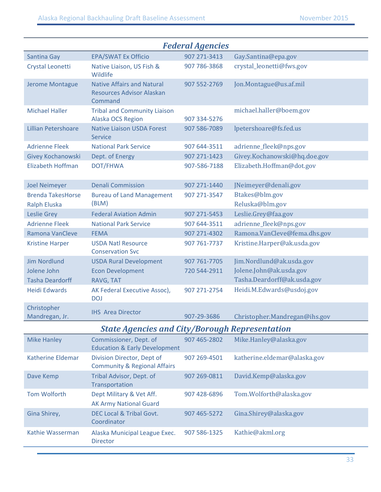| <b>Federal Agencies</b>       |                                                                                  |              |                               |  |
|-------------------------------|----------------------------------------------------------------------------------|--------------|-------------------------------|--|
| Santina Gay                   | <b>EPA/SWAT Ex Officio</b>                                                       | 907 271-3413 | Gay.Santina@epa.gov           |  |
| Crystal Leonetti              | Native Liaison, US Fish &<br>Wildlife                                            | 907 786-3868 | crystal_leonetti@fws.gov      |  |
| Jerome Montague               | <b>Native Affairs and Natural</b><br><b>Resources Advisor Alaskan</b><br>Command | 907 552-2769 | Jon.Montague@us.af.mil        |  |
| <b>Michael Haller</b>         | <b>Tribal and Community Liaison</b><br>Alaska OCS Region                         | 907 334-5276 | michael.haller@boem.gov       |  |
| <b>Lillian Petershoare</b>    | <b>Native Liaison USDA Forest</b><br><b>Service</b>                              | 907 586-7089 | lpetershoare@fs.fed.us        |  |
| <b>Adrienne Fleek</b>         | <b>National Park Service</b>                                                     | 907 644-3511 | adrienne_fleek@nps.gov        |  |
| Givey Kochanowski             | Dept. of Energy                                                                  | 907 271-1423 | Givey.Kochanowski@hq.doe.gov  |  |
| Elizabeth Hoffman             | DOT/FHWA                                                                         | 907-586-7188 | Elizabeth.Hoffman@dot.gov     |  |
| <b>Joel Neimeyer</b>          | <b>Denali Commission</b>                                                         | 907 271-1440 | JNeimeyer@denali.gov          |  |
| <b>Brenda TakesHorse</b>      | <b>Bureau of Land Management</b>                                                 | 907 271-3547 | Btakes@blm.gov                |  |
| <b>Ralph Eluska</b>           | (BLM)                                                                            |              | Reluska@blm.gov               |  |
| <b>Leslie Grey</b>            | <b>Federal Aviation Admin</b>                                                    | 907 271-5453 | Leslie.Grey@faa.gov           |  |
| <b>Adrienne Fleek</b>         | <b>National Park Service</b>                                                     | 907 644-3511 | adrienne_fleek@nps.gov        |  |
| <b>Ramona VanCleve</b>        | <b>FEMA</b>                                                                      | 907 271-4302 | Ramona.VanCleve@fema.dhs.gov  |  |
| <b>Kristine Harper</b>        | <b>USDA Natl Resource</b><br><b>Conservation Svc</b>                             | 907 761-7737 | Kristine.Harper@ak.usda.gov   |  |
| <b>Jim Nordlund</b>           | <b>USDA Rural Development</b>                                                    | 907 761-7705 | Jim.Nordlund@ak.usda.gov      |  |
| Jolene John                   | <b>Econ Development</b>                                                          | 720 544-2911 | Jolene.John@ak.usda.gov       |  |
| <b>Tasha Deardorff</b>        | RAVG, TAT                                                                        |              | Tasha.Deardorff@ak.usda.gov   |  |
| <b>Heidi Edwards</b>          | AK Federal Executive Assoc),<br><b>DOJ</b>                                       | 907 271-2754 | Heidi.M.Edwards@usdoj.gov     |  |
| Christopher<br>Mandregan, Jr. | <b>IHS Area Director</b>                                                         | 907-29-3686  | Christopher.Mandregan@ihs.gov |  |
|                               | <b>State Agencies and City/Borough Representation</b>                            |              |                               |  |
| <b>Mike Hanley</b>            | Commissioner, Dept. of<br><b>Education &amp; Early Development</b>               | 907 465-2802 | Mike.Hanley@alaska.gov        |  |
| <b>Katherine Eldemar</b>      | Division Director, Dept of<br><b>Community &amp; Regional Affairs</b>            | 907 269-4501 | katherine.eldemar@alaska.gov  |  |
| Dave Kemp                     | Tribal Advisor, Dept. of<br>Transportation                                       | 907 269-0811 | David.Kemp@alaska.gov         |  |
| <b>Tom Wolforth</b>           | Dept Military & Vet Aff.<br><b>AK Army National Guard</b>                        | 907 428-6896 | Tom.Wolforth@alaska.gov       |  |
| Gina Shirey,                  | DEC Local & Tribal Govt.<br>Coordinator                                          | 907 465-5272 | Gina.Shirey@alaska.gov        |  |
| Kathie Wasserman              | Alaska Municipal League Exec.<br><b>Director</b>                                 | 907 586-1325 | Kathie@akml.org               |  |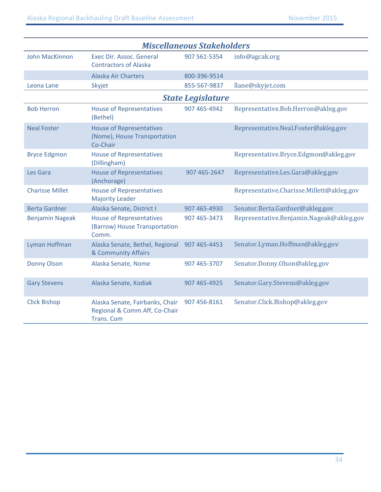| <b>Miscellaneous Stakeholders</b> |                                                                                       |              |                                           |  |
|-----------------------------------|---------------------------------------------------------------------------------------|--------------|-------------------------------------------|--|
| <b>John MacKinnon</b>             | Exec Dir. Assoc. General<br><b>Contractors of Alaska</b>                              | 907 561-5354 | info@agcak.org                            |  |
|                                   | <b>Alaska Air Charters</b>                                                            | 800-396-9514 |                                           |  |
| Leona Lane                        | Skyjet                                                                                | 855-567-9837 | llane@skyjet.com                          |  |
|                                   | <b>State Legislature</b>                                                              |              |                                           |  |
| <b>Bob Herron</b>                 | <b>House of Representatives</b><br>(Bethel)                                           | 907 465-4942 | Representative.Bob.Herron@akleg.gov       |  |
| <b>Neal Foster</b>                | <b>House of Representatives</b><br>(Nome), House Transportation<br>Co-Chair           |              | Representative.Neal.Foster@akleg.gov      |  |
| <b>Bryce Edgmon</b>               | <b>House of Representatives</b><br>(Dillingham)                                       |              | Representative.Bryce.Edgmon@akleg.gov     |  |
| Les Gara                          | <b>House of Representatives</b><br>(Anchorage)                                        | 907 465-2647 | Representative.Les.Gara@akleg.gov         |  |
| <b>Charisse Millet</b>            | <b>House of Representatives</b><br><b>Majority Leader</b>                             |              | Representative.Charisse.Millett@akleg.gov |  |
| <b>Berta Gardner</b>              | Alaska Senate, District I                                                             | 907 465-4930 | Senator.Berta.Gardner@akleg.gov           |  |
| <b>Benjamin Nageak</b>            | <b>House of Representatives</b><br>(Barrow) House Transportation<br>Comm.             | 907 465-3473 | Representative.Benjamin.Nageak@akleg.gov  |  |
| Lyman Hoffman                     | Alaska Senate, Bethel, Regional<br>& Community Affairs                                | 907 465-4453 | Senator.Lyman.Hoffman@akleg.gov           |  |
| <b>Donny Olson</b>                | Alaska Senate, Nome                                                                   | 907 465-3707 | Senator.Donny.Olson@akleg.gov             |  |
| <b>Gary Stevens</b>               | Alaska Senate, Kodiak                                                                 | 907 465-4925 | Senator.Gary.Stevens@akleg.gov            |  |
| <b>Click Bishop</b>               | Alaska Senate, Fairbanks, Chair<br>Regional & Comm Aff, Co-Chair<br><b>Trans. Com</b> | 907 456-8161 | Senator.Click.Bishop@akleg.gov            |  |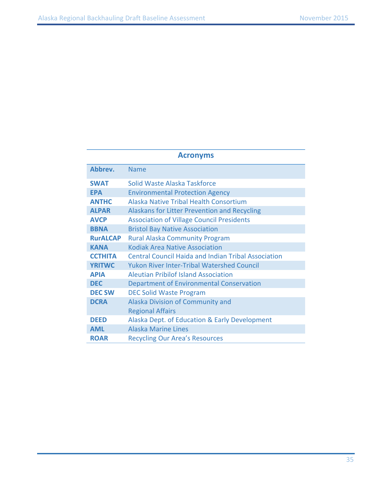### **Acronyms**

| Abbrey.         | <b>Name</b>                                                |
|-----------------|------------------------------------------------------------|
| <b>SWAT</b>     | Solid Waste Alaska Taskforce                               |
| <b>EPA</b>      | <b>Environmental Protection Agency</b>                     |
| <b>ANTHC</b>    | Alaska Native Tribal Health Consortium                     |
| <b>ALPAR</b>    | Alaskans for Litter Prevention and Recycling               |
| <b>AVCP</b>     | <b>Association of Village Council Presidents</b>           |
| <b>BBNA</b>     | <b>Bristol Bay Native Association</b>                      |
| <b>RurALCAP</b> | <b>Rural Alaska Community Program</b>                      |
| <b>KANA</b>     | Kodiak Area Native Association                             |
| <b>CCTHITA</b>  | <b>Central Council Haida and Indian Tribal Association</b> |
| <b>YRITWC</b>   | <b>Yukon River Inter-Tribal Watershed Council</b>          |
| <b>APIA</b>     | <b>Aleutian Pribilof Island Association</b>                |
| <b>DEC</b>      | Department of Environmental Conservation                   |
| <b>DEC SW</b>   | <b>DEC Solid Waste Program</b>                             |
| <b>DCRA</b>     | Alaska Division of Community and                           |
|                 | <b>Regional Affairs</b>                                    |
| <b>DEED</b>     | Alaska Dept. of Education & Early Development              |
| <b>AML</b>      | <b>Alaska Marine Lines</b>                                 |
| <b>ROAR</b>     | <b>Recycling Our Area's Resources</b>                      |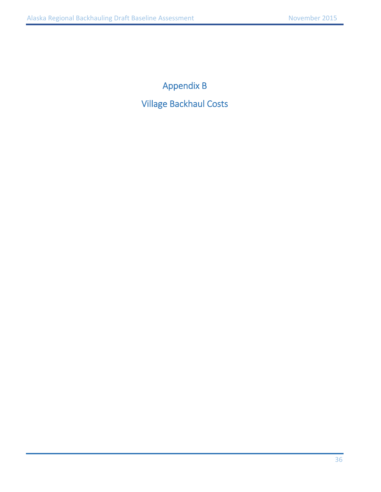Appendix B Village Backhaul Costs